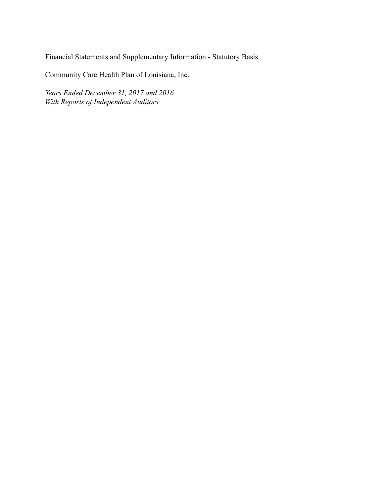Financial Statements and Supplementary Information - Statutory Basis

Community Care Health Plan of Louisiana, Inc.

*Years Ended December 31, 2017 and 2016 With Reports of Independent Auditors*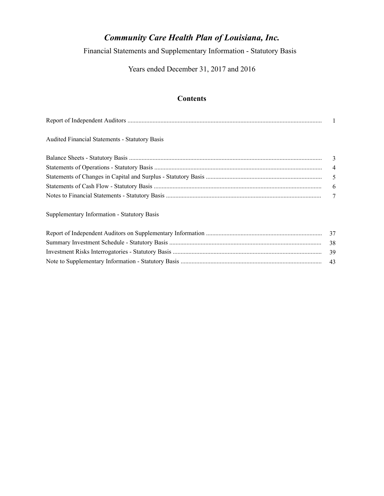Financial Statements and Supplementary Information - Statutory Basis

Years ended December 31, 2017 and 2016

### **Contents**

| Audited Financial Statements - Statutory Basis |    |
|------------------------------------------------|----|
|                                                |    |
|                                                |    |
|                                                |    |
|                                                | 6  |
|                                                | 7  |
| Supplementary Information - Statutory Basis    |    |
|                                                |    |
|                                                | 38 |
|                                                | 39 |
|                                                | 43 |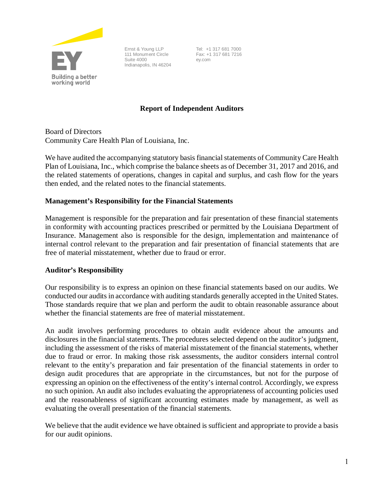

Ernst & Young LLP 111 Monument Circle Suite 4000 Indianapolis, IN 46204 Tel: +1 317 681 7000 Fax: +1 317 681 7216 ey.com

### **Report of Independent Auditors**

Board of Directors Community Care Health Plan of Louisiana, Inc.

We have audited the accompanying statutory basis financial statements of Community Care Health Plan of Louisiana, Inc., which comprise the balance sheets as of December 31, 2017 and 2016, and the related statements of operations, changes in capital and surplus, and cash flow for the years then ended, and the related notes to the financial statements.

#### **Management's Responsibility for the Financial Statements**

Management is responsible for the preparation and fair presentation of these financial statements in conformity with accounting practices prescribed or permitted by the Louisiana Department of Insurance. Management also is responsible for the design, implementation and maintenance of internal control relevant to the preparation and fair presentation of financial statements that are free of material misstatement, whether due to fraud or error.

#### **Auditor's Responsibility**

Our responsibility is to express an opinion on these financial statements based on our audits. We conducted our audits in accordance with auditing standards generally accepted in the United States. Those standards require that we plan and perform the audit to obtain reasonable assurance about whether the financial statements are free of material misstatement.

An audit involves performing procedures to obtain audit evidence about the amounts and disclosures in the financial statements. The procedures selected depend on the auditor's judgment, including the assessment of the risks of material misstatement of the financial statements, whether due to fraud or error. In making those risk assessments, the auditor considers internal control relevant to the entity's preparation and fair presentation of the financial statements in order to design audit procedures that are appropriate in the circumstances, but not for the purpose of expressing an opinion on the effectiveness of the entity's internal control. Accordingly, we express no such opinion. An audit also includes evaluating the appropriateness of accounting policies used and the reasonableness of significant accounting estimates made by management, as well as evaluating the overall presentation of the financial statements.

We believe that the audit evidence we have obtained is sufficient and appropriate to provide a basis for our audit opinions.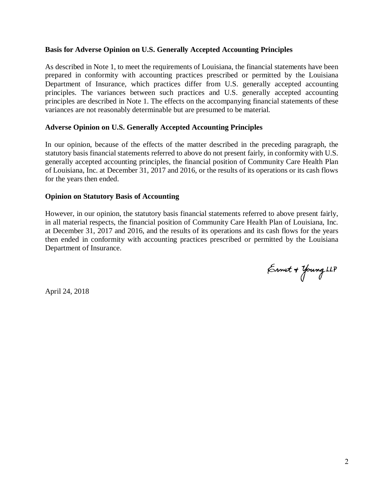#### **Basis for Adverse Opinion on U.S. Generally Accepted Accounting Principles**

As described in Note 1, to meet the requirements of Louisiana, the financial statements have been prepared in conformity with accounting practices prescribed or permitted by the Louisiana Department of Insurance, which practices differ from U.S. generally accepted accounting principles. The variances between such practices and U.S. generally accepted accounting principles are described in Note 1. The effects on the accompanying financial statements of these variances are not reasonably determinable but are presumed to be material.

#### **Adverse Opinion on U.S. Generally Accepted Accounting Principles**

In our opinion, because of the effects of the matter described in the preceding paragraph, the statutory basis financial statements referred to above do not present fairly, in conformity with U.S. generally accepted accounting principles, the financial position of Community Care Health Plan of Louisiana, Inc. at December 31, 2017 and 2016, or the results of its operations or its cash flows for the years then ended.

#### **Opinion on Statutory Basis of Accounting**

However, in our opinion, the statutory basis financial statements referred to above present fairly, in all material respects, the financial position of Community Care Health Plan of Louisiana, Inc. at December 31, 2017 and 2016, and the results of its operations and its cash flows for the years then ended in conformity with accounting practices prescribed or permitted by the Louisiana Department of Insurance.

Ernet + Young LLP

April 24, 2018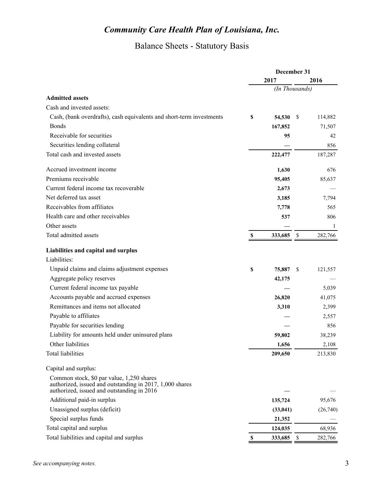# Balance Sheets - Statutory Basis

<span id="page-4-0"></span>

|                                                                                                                                                     |          | December 31    |      |          |
|-----------------------------------------------------------------------------------------------------------------------------------------------------|----------|----------------|------|----------|
|                                                                                                                                                     |          | 2017           | 2016 |          |
|                                                                                                                                                     |          | (In Thousands) |      |          |
| <b>Admitted assets</b>                                                                                                                              |          |                |      |          |
| Cash and invested assets:                                                                                                                           |          |                |      |          |
| Cash, (bank overdrafts), cash equivalents and short-term investments                                                                                | \$       | 54,530         | S.   | 114,882  |
| <b>Bonds</b>                                                                                                                                        |          | 167,852        |      | 71,507   |
| Receivable for securities                                                                                                                           |          | 95             |      | 42       |
| Securities lending collateral                                                                                                                       |          |                |      | 856      |
| Total cash and invested assets                                                                                                                      |          | 222,477        |      | 187,287  |
| Accrued investment income                                                                                                                           |          | 1,630          |      | 676      |
| Premiums receivable                                                                                                                                 |          | 95,405         |      | 85,637   |
| Current federal income tax recoverable                                                                                                              |          | 2,673          |      |          |
| Net deferred tax asset                                                                                                                              |          | 3,185          |      | 7,794    |
| Receivables from affiliates                                                                                                                         |          | 7,778          |      | 565      |
| Health care and other receivables                                                                                                                   |          | 537            |      | 806      |
| Other assets                                                                                                                                        |          |                |      | -1       |
| Total admitted assets                                                                                                                               | <b>S</b> | 333,685        | \$   | 282,766  |
| Liabilities and capital and surplus                                                                                                                 |          |                |      |          |
| Liabilities:                                                                                                                                        |          |                |      |          |
| Unpaid claims and claims adjustment expenses                                                                                                        | \$       | 75,887         | S    | 121,557  |
| Aggregate policy reserves                                                                                                                           |          | 42,175         |      |          |
| Current federal income tax payable                                                                                                                  |          |                |      | 5,039    |
| Accounts payable and accrued expenses                                                                                                               |          | 26,820         |      | 41,075   |
| Remittances and items not allocated                                                                                                                 |          | 3,310          |      | 2,399    |
| Payable to affiliates                                                                                                                               |          |                |      | 2,557    |
| Payable for securities lending                                                                                                                      |          |                |      | 856      |
| Liability for amounts held under uninsured plans                                                                                                    |          | 59,802         |      | 38,239   |
| Other liabilities                                                                                                                                   |          | 1,656          |      | 2,108    |
| <b>Total liabilities</b>                                                                                                                            |          | 209,650        |      | 213,830  |
| Capital and surplus:                                                                                                                                |          |                |      |          |
| Common stock, \$0 par value, 1,250 shares<br>authorized, issued and outstanding in 2017, 1,000 shares<br>authorized, issued and outstanding in 2016 |          |                |      |          |
| Additional paid-in surplus                                                                                                                          |          | 135,724        |      | 95,676   |
| Unassigned surplus (deficit)                                                                                                                        |          | (33, 041)      |      | (26,740) |
| Special surplus funds                                                                                                                               |          | 21,352         |      |          |
| Total capital and surplus                                                                                                                           |          | 124,035        |      | 68,936   |
| Total liabilities and capital and surplus                                                                                                           | \$       | 333,685        | \$   | 282,766  |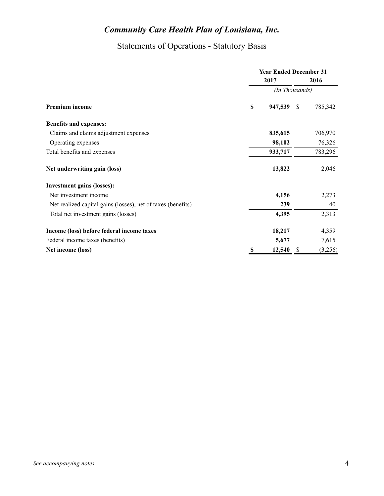# Statements of Operations - Statutory Basis

<span id="page-5-0"></span>

|                                                              |    | <b>Year Ended December 31</b> |              |         |
|--------------------------------------------------------------|----|-------------------------------|--------------|---------|
|                                                              |    | 2017                          |              | 2016    |
|                                                              |    | (In Thousands)                |              |         |
| <b>Premium income</b>                                        | \$ | 947,539                       | <sup>S</sup> | 785,342 |
| <b>Benefits and expenses:</b>                                |    |                               |              |         |
| Claims and claims adjustment expenses                        |    | 835,615                       |              | 706,970 |
| Operating expenses                                           |    | 98,102                        |              | 76,326  |
| Total benefits and expenses                                  |    | 933,717                       |              | 783,296 |
| Net underwriting gain (loss)                                 |    | 13,822                        |              | 2,046   |
| <b>Investment gains (losses):</b>                            |    |                               |              |         |
| Net investment income                                        |    | 4,156                         |              | 2,273   |
| Net realized capital gains (losses), net of taxes (benefits) |    | 239                           |              | 40      |
| Total net investment gains (losses)                          |    | 4,395                         |              | 2,313   |
| Income (loss) before federal income taxes                    |    | 18,217                        |              | 4,359   |
| Federal income taxes (benefits)                              |    | 5,677                         |              | 7,615   |
| Net income (loss)                                            | S  | 12,540                        | S            | (3,256) |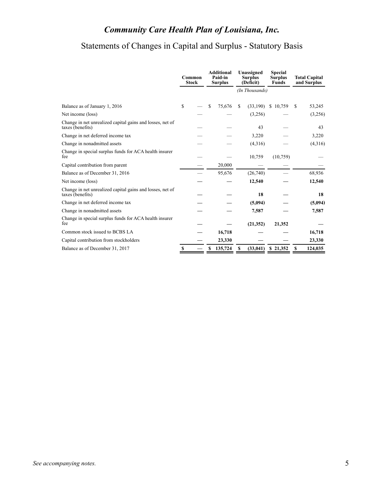# <span id="page-6-0"></span>Statements of Changes in Capital and Surplus - Statutory Basis

|                                                                               | <b>Additional</b><br>Unassigned<br>Paid-in<br>Common<br><b>Surplus</b><br><b>Stock</b><br><b>Surplus</b><br>(Deficit) |  | <b>Special</b><br><b>Surplus</b><br><b>Funds</b> |         | <b>Total Capital</b><br>and Surplus |                |          |    |         |
|-------------------------------------------------------------------------------|-----------------------------------------------------------------------------------------------------------------------|--|--------------------------------------------------|---------|-------------------------------------|----------------|----------|----|---------|
|                                                                               |                                                                                                                       |  |                                                  |         |                                     | (In Thousands) |          |    |         |
| Balance as of January 1, 2016                                                 | \$                                                                                                                    |  | S                                                | 75,676  | S                                   | (33,190)       | \$10,759 | S  | 53,245  |
| Net income (loss)                                                             |                                                                                                                       |  |                                                  |         |                                     | (3,256)        |          |    | (3,256) |
| Change in net unrealized capital gains and losses, net of<br>taxes (benefits) |                                                                                                                       |  |                                                  |         |                                     | 43             |          |    | 43      |
| Change in net deferred income tax                                             |                                                                                                                       |  |                                                  |         |                                     | 3,220          |          |    | 3,220   |
| Change in nonadmitted assets                                                  |                                                                                                                       |  |                                                  |         |                                     | (4,316)        |          |    | (4,316) |
| Change in special surplus funds for ACA health insurer<br>fee                 |                                                                                                                       |  |                                                  |         |                                     | 10,759         | (10,759) |    |         |
| Capital contribution from parent                                              |                                                                                                                       |  |                                                  | 20,000  |                                     |                |          |    |         |
| Balance as of December 31, 2016                                               |                                                                                                                       |  |                                                  | 95,676  |                                     | (26,740)       |          |    | 68,936  |
| Net income (loss)                                                             |                                                                                                                       |  |                                                  |         |                                     | 12,540         |          |    | 12,540  |
| Change in net unrealized capital gains and losses, net of<br>taxes (benefits) |                                                                                                                       |  |                                                  |         |                                     | 18             |          |    | 18      |
| Change in net deferred income tax                                             |                                                                                                                       |  |                                                  |         |                                     | (5,094)        |          |    | (5,094) |
| Change in nonadmitted assets                                                  |                                                                                                                       |  |                                                  |         |                                     | 7,587          |          |    | 7,587   |
| Change in special surplus funds for ACA health insurer<br>fee                 |                                                                                                                       |  |                                                  |         |                                     | (21, 352)      | 21,352   |    |         |
| Common stock issued to BCBS LA                                                |                                                                                                                       |  |                                                  | 16,718  |                                     |                |          |    | 16,718  |
| Capital contribution from stockholders                                        |                                                                                                                       |  |                                                  | 23,330  |                                     |                |          |    | 23,330  |
| Balance as of December 31, 2017                                               | \$                                                                                                                    |  | \$                                               | 135,724 | \$                                  | (33, 041)      | \$21,352 | \$ | 124,035 |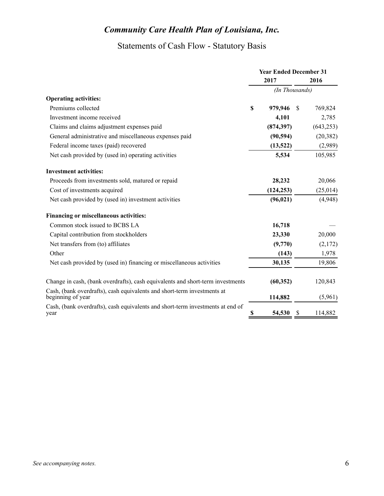# Statements of Cash Flow - Statutory Basis

<span id="page-7-0"></span>

|                                                                                              | <b>Year Ended December 31</b> |                |    |            |
|----------------------------------------------------------------------------------------------|-------------------------------|----------------|----|------------|
|                                                                                              |                               | 2017           |    | 2016       |
|                                                                                              |                               | (In Thousands) |    |            |
| <b>Operating activities:</b>                                                                 |                               |                |    |            |
| Premiums collected                                                                           | \$                            | 979,946        | -S | 769,824    |
| Investment income received                                                                   |                               | 4,101          |    | 2,785      |
| Claims and claims adjustment expenses paid                                                   |                               | (874, 397)     |    | (643, 253) |
| General administrative and miscellaneous expenses paid                                       |                               | (90, 594)      |    | (20, 382)  |
| Federal income taxes (paid) recovered                                                        |                               | (13, 522)      |    | (2,989)    |
| Net cash provided by (used in) operating activities                                          |                               | 5,534          |    | 105,985    |
| <b>Investment activities:</b>                                                                |                               |                |    |            |
| Proceeds from investments sold, matured or repaid                                            |                               | 28,232         |    | 20,066     |
| Cost of investments acquired                                                                 |                               | (124, 253)     |    | (25, 014)  |
| Net cash provided by (used in) investment activities                                         |                               | (96, 021)      |    | (4,948)    |
| Financing or miscellaneous activities:                                                       |                               |                |    |            |
| Common stock issued to BCBS LA                                                               |                               | 16,718         |    |            |
| Capital contribution from stockholders                                                       |                               | 23,330         |    | 20,000     |
| Net transfers from (to) affiliates                                                           |                               | (9,770)        |    | (2,172)    |
| Other                                                                                        |                               | (143)          |    | 1,978      |
| Net cash provided by (used in) financing or miscellaneous activities                         |                               | 30,135         |    | 19,806     |
| Change in cash, (bank overdrafts), cash equivalents and short-term investments               |                               | (60, 352)      |    | 120,843    |
| Cash, (bank overdrafts), cash equivalents and short-term investments at<br>beginning of year |                               | 114,882        |    | (5,961)    |
| Cash, (bank overdrafts), cash equivalents and short-term investments at end of<br>year       | \$                            | 54,530         | -S | 114,882    |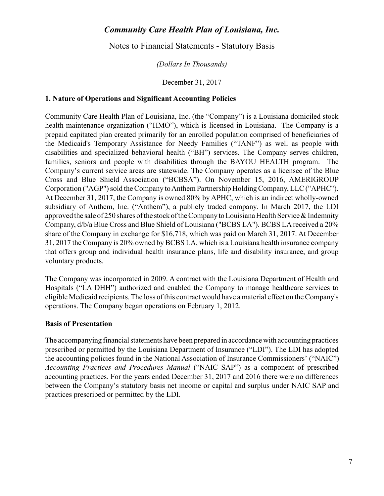Notes to Financial Statements - Statutory Basis

*(Dollars In Thousands)*

December 31, 2017

#### <span id="page-8-0"></span>**1. Nature of Operations and Significant Accounting Policies**

Community Care Health Plan of Louisiana, Inc. (the "Company") is a Louisiana domiciled stock health maintenance organization ("HMO"), which is licensed in Louisiana. The Company is a prepaid capitated plan created primarily for an enrolled population comprised of beneficiaries of the Medicaid's Temporary Assistance for Needy Families ("TANF") as well as people with disabilities and specialized behavioral health ("BH") services. The Company serves children, families, seniors and people with disabilities through the BAYOU HEALTH program. The Company's current service areas are statewide. The Company operates as a licensee of the Blue Cross and Blue Shield Association ("BCBSA"). On November 15, 2016, AMERIGROUP Corporation ("AGP") sold the Company to Anthem Partnership Holding Company, LLC ("APHC"). At December 31, 2017, the Company is owned 80% by APHC, which is an indirect wholly-owned subsidiary of Anthem, Inc. ("Anthem"), a publicly traded company. In March 2017, the LDI approved the sale of 250 shares of the stock of the Company to Louisiana Health Service & Indemnity Company, d/b/a Blue Cross and Blue Shield of Louisiana ("BCBS LA"). BCBS LA received a 20% share of the Company in exchange for \$16,718, which was paid on March 31, 2017. At December 31, 2017 the Company is 20% owned by BCBS LA, which is a Louisiana health insurance company that offers group and individual health insurance plans, life and disability insurance, and group voluntary products.

The Company was incorporated in 2009. A contract with the Louisiana Department of Health and Hospitals ("LA DHH") authorized and enabled the Company to manage healthcare services to eligible Medicaid recipients. The loss of this contract would have a material effect on the Company's operations. The Company began operations on February 1, 2012.

#### **Basis of Presentation**

The accompanying financial statements have been prepared in accordance with accounting practices prescribed or permitted by the Louisiana Department of Insurance ("LDI"). The LDI has adopted the accounting policies found in the National Association of Insurance Commissioners' ("NAIC") *Accounting Practices and Procedures Manual* ("NAIC SAP") as a component of prescribed accounting practices. For the years ended December 31, 2017 and 2016 there were no differences between the Company's statutory basis net income or capital and surplus under NAIC SAP and practices prescribed or permitted by the LDI.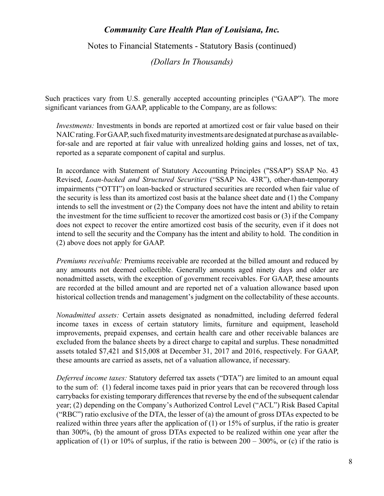Notes to Financial Statements - Statutory Basis (continued)

### *(Dollars In Thousands)*

Such practices vary from U.S. generally accepted accounting principles ("GAAP"). The more significant variances from GAAP, applicable to the Company, are as follows:

*Investments:* Investments in bonds are reported at amortized cost or fair value based on their NAIC rating. For GAAP, such fixed maturity investments are designated at purchase as availablefor-sale and are reported at fair value with unrealized holding gains and losses, net of tax, reported as a separate component of capital and surplus.

In accordance with Statement of Statutory Accounting Principles ("SSAP") SSAP No. 43 Revised, *Loan-backed and Structured Securities* ("SSAP No. 43R"), other-than-temporary impairments ("OTTI") on loan-backed or structured securities are recorded when fair value of the security is less than its amortized cost basis at the balance sheet date and (1) the Company intends to sell the investment or (2) the Company does not have the intent and ability to retain the investment for the time sufficient to recover the amortized cost basis or (3) if the Company does not expect to recover the entire amortized cost basis of the security, even if it does not intend to sell the security and the Company has the intent and ability to hold. The condition in (2) above does not apply for GAAP.

*Premiums receivable:* Premiums receivable are recorded at the billed amount and reduced by any amounts not deemed collectible. Generally amounts aged ninety days and older are nonadmitted assets, with the exception of government receivables. For GAAP, these amounts are recorded at the billed amount and are reported net of a valuation allowance based upon historical collection trends and management's judgment on the collectability of these accounts.

*Nonadmitted assets:* Certain assets designated as nonadmitted, including deferred federal income taxes in excess of certain statutory limits, furniture and equipment, leasehold improvements, prepaid expenses, and certain health care and other receivable balances are excluded from the balance sheets by a direct charge to capital and surplus. These nonadmitted assets totaled \$7,421 and \$15,008 at December 31, 2017 and 2016, respectively. For GAAP, these amounts are carried as assets, net of a valuation allowance, if necessary.

*Deferred income taxes:* Statutory deferred tax assets ("DTA") are limited to an amount equal to the sum of: (1) federal income taxes paid in prior years that can be recovered through loss carrybacks for existing temporary differences that reverse by the end of the subsequent calendar year; (2) depending on the Company's Authorized Control Level ("ACL") Risk Based Capital ("RBC") ratio exclusive of the DTA, the lesser of (a) the amount of gross DTAs expected to be realized within three years after the application of (1) or 15% of surplus, if the ratio is greater than 300%, (b) the amount of gross DTAs expected to be realized within one year after the application of (1) or 10% of surplus, if the ratio is between  $200 - 300\%$ , or (c) if the ratio is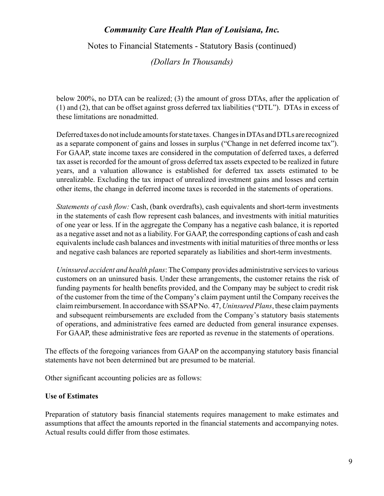Notes to Financial Statements - Statutory Basis (continued)

### *(Dollars In Thousands)*

below 200%, no DTA can be realized; (3) the amount of gross DTAs, after the application of (1) and (2), that can be offset against gross deferred tax liabilities ("DTL"). DTAs in excess of these limitations are nonadmitted.

Deferred taxes do not include amounts for state taxes. Changes in DTAs and DTLs are recognized as a separate component of gains and losses in surplus ("Change in net deferred income tax"). For GAAP, state income taxes are considered in the computation of deferred taxes, a deferred tax asset is recorded for the amount of gross deferred tax assets expected to be realized in future years, and a valuation allowance is established for deferred tax assets estimated to be unrealizable. Excluding the tax impact of unrealized investment gains and losses and certain other items, the change in deferred income taxes is recorded in the statements of operations.

*Statements of cash flow:* Cash, (bank overdrafts), cash equivalents and short-term investments in the statements of cash flow represent cash balances, and investments with initial maturities of one year or less. If in the aggregate the Company has a negative cash balance, it is reported as a negative asset and not as a liability. For GAAP, the corresponding captions of cash and cash equivalents include cash balances and investments with initial maturities of three months or less and negative cash balances are reported separately as liabilities and short-term investments.

*Uninsured accident and health plans*: The Company provides administrative services to various customers on an uninsured basis. Under these arrangements, the customer retains the risk of funding payments for health benefits provided, and the Company may be subject to credit risk of the customer from the time of the Company's claim payment until the Company receives the claim reimbursement. In accordance with SSAP No. 47, *Uninsured Plans*, these claim payments and subsequent reimbursements are excluded from the Company's statutory basis statements of operations, and administrative fees earned are deducted from general insurance expenses. For GAAP, these administrative fees are reported as revenue in the statements of operations.

The effects of the foregoing variances from GAAP on the accompanying statutory basis financial statements have not been determined but are presumed to be material.

Other significant accounting policies are as follows:

#### **Use of Estimates**

Preparation of statutory basis financial statements requires management to make estimates and assumptions that affect the amounts reported in the financial statements and accompanying notes. Actual results could differ from those estimates.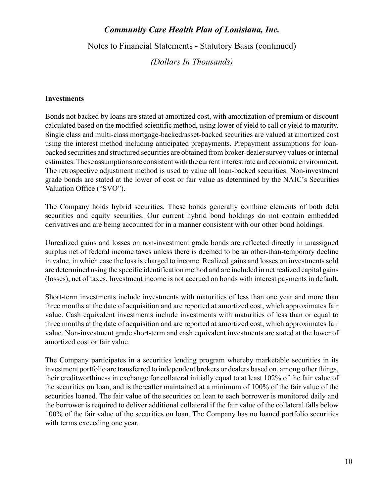Notes to Financial Statements - Statutory Basis (continued)

*(Dollars In Thousands)*

#### **Investments**

Bonds not backed by loans are stated at amortized cost, with amortization of premium or discount calculated based on the modified scientific method, using lower of yield to call or yield to maturity. Single class and multi-class mortgage-backed/asset-backed securities are valued at amortized cost using the interest method including anticipated prepayments. Prepayment assumptions for loanbacked securities and structured securities are obtained from broker-dealer survey values or internal estimates. These assumptions are consistent with the current interest rate and economic environment. The retrospective adjustment method is used to value all loan-backed securities. Non-investment grade bonds are stated at the lower of cost or fair value as determined by the NAIC's Securities Valuation Office ("SVO").

The Company holds hybrid securities. These bonds generally combine elements of both debt securities and equity securities. Our current hybrid bond holdings do not contain embedded derivatives and are being accounted for in a manner consistent with our other bond holdings.

Unrealized gains and losses on non-investment grade bonds are reflected directly in unassigned surplus net of federal income taxes unless there is deemed to be an other-than-temporary decline in value, in which case the loss is charged to income. Realized gains and losses on investments sold are determined using the specific identification method and are included in net realized capital gains (losses), net of taxes. Investment income is not accrued on bonds with interest payments in default.

Short-term investments include investments with maturities of less than one year and more than three months at the date of acquisition and are reported at amortized cost, which approximates fair value. Cash equivalent investments include investments with maturities of less than or equal to three months at the date of acquisition and are reported at amortized cost, which approximates fair value. Non-investment grade short-term and cash equivalent investments are stated at the lower of amortized cost or fair value.

The Company participates in a securities lending program whereby marketable securities in its investment portfolio are transferred to independent brokers or dealers based on, among other things, their creditworthiness in exchange for collateral initially equal to at least 102% of the fair value of the securities on loan, and is thereafter maintained at a minimum of 100% of the fair value of the securities loaned. The fair value of the securities on loan to each borrower is monitored daily and the borrower is required to deliver additional collateral if the fair value of the collateral falls below 100% of the fair value of the securities on loan. The Company has no loaned portfolio securities with terms exceeding one year.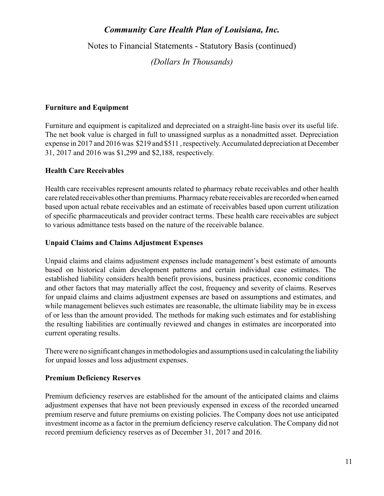Notes to Financial Statements - Statutory Basis (continued)

*(Dollars In Thousands)*

#### **Furniture and Equipment**

Furniture and equipment is capitalized and depreciated on a straight-line basis over its useful life. The net book value is charged in full to unassigned surplus as a nonadmitted asset. Depreciation expense in 2017 and 2016 was \$219 and \$511 , respectively. Accumulated depreciation at December 31, 2017 and 2016 was \$1,299 and \$2,188, respectively.

### **Health Care Receivables**

Health care receivables represent amounts related to pharmacy rebate receivables and other health care related receivables other than premiums. Pharmacy rebate receivables are recorded when earned based upon actual rebate receivables and an estimate of receivables based upon current utilization of specific pharmaceuticals and provider contract terms. These health care receivables are subject to various admittance tests based on the nature of the receivable balance.

### **Unpaid Claims and Claims Adjustment Expenses**

Unpaid claims and claims adjustment expenses include management's best estimate of amounts based on historical claim development patterns and certain individual case estimates. The established liability considers health benefit provisions, business practices, economic conditions and other factors that may materially affect the cost, frequency and severity of claims. Reserves for unpaid claims and claims adjustment expenses are based on assumptions and estimates, and while management believes such estimates are reasonable, the ultimate liability may be in excess of or less than the amount provided. The methods for making such estimates and for establishing the resulting liabilities are continually reviewed and changes in estimates are incorporated into current operating results.

There were no significant changes in methodologies and assumptions used in calculating the liability for unpaid losses and loss adjustment expenses.

#### **Premium Deficiency Reserves**

Premium deficiency reserves are established for the amount of the anticipated claims and claims adjustment expenses that have not been previously expensed in excess of the recorded unearned premium reserve and future premiums on existing policies. The Company does not use anticipated investment income as a factor in the premium deficiency reserve calculation. The Company did not record premium deficiency reserves as of December 31, 2017 and 2016.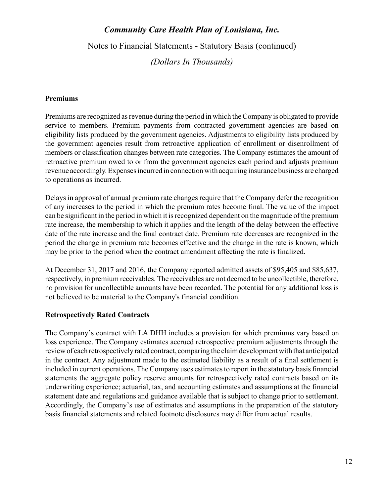Notes to Financial Statements - Statutory Basis (continued)

*(Dollars In Thousands)*

#### **Premiums**

Premiums are recognized as revenue during the period in which the Company is obligated to provide service to members. Premium payments from contracted government agencies are based on eligibility lists produced by the government agencies. Adjustments to eligibility lists produced by the government agencies result from retroactive application of enrollment or disenrollment of members or classification changes between rate categories. The Company estimates the amount of retroactive premium owed to or from the government agencies each period and adjusts premium revenue accordingly. Expenses incurred in connection with acquiring insurance business are charged to operations as incurred.

Delays in approval of annual premium rate changes require that the Company defer the recognition of any increases to the period in which the premium rates become final. The value of the impact can be significant in the period in which it is recognized dependent on the magnitude of the premium rate increase, the membership to which it applies and the length of the delay between the effective date of the rate increase and the final contract date. Premium rate decreases are recognized in the period the change in premium rate becomes effective and the change in the rate is known, which may be prior to the period when the contract amendment affecting the rate is finalized.

At December 31, 2017 and 2016, the Company reported admitted assets of \$95,405 and \$85,637, respectively, in premium receivables. The receivables are not deemed to be uncollectible, therefore, no provision for uncollectible amounts have been recorded. The potential for any additional loss is not believed to be material to the Company's financial condition.

#### **Retrospectively Rated Contracts**

The Company's contract with LA DHH includes a provision for which premiums vary based on loss experience. The Company estimates accrued retrospective premium adjustments through the review of each retrospectively rated contract, comparing the claim development with that anticipated in the contract. Any adjustment made to the estimated liability as a result of a final settlement is included in current operations. The Company uses estimates to report in the statutory basis financial statements the aggregate policy reserve amounts for retrospectively rated contracts based on its underwriting experience; actuarial, tax, and accounting estimates and assumptions at the financial statement date and regulations and guidance available that is subject to change prior to settlement. Accordingly, the Company's use of estimates and assumptions in the preparation of the statutory basis financial statements and related footnote disclosures may differ from actual results.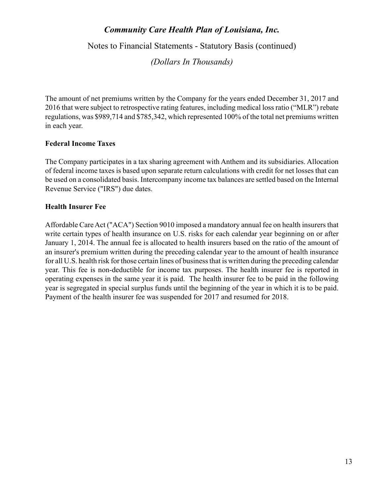Notes to Financial Statements - Statutory Basis (continued)

*(Dollars In Thousands)*

The amount of net premiums written by the Company for the years ended December 31, 2017 and 2016 that were subject to retrospective rating features, including medical loss ratio ("MLR") rebate regulations, was \$989,714 and \$785,342, which represented 100% of the total net premiums written in each year.

#### **Federal Income Taxes**

The Company participates in a tax sharing agreement with Anthem and its subsidiaries. Allocation of federal income taxes is based upon separate return calculations with credit for net losses that can be used on a consolidated basis. Intercompany income tax balances are settled based on the Internal Revenue Service ("IRS") due dates.

### **Health Insurer Fee**

Affordable Care Act ("ACA") Section 9010 imposed a mandatory annual fee on health insurers that write certain types of health insurance on U.S. risks for each calendar year beginning on or after January 1, 2014. The annual fee is allocated to health insurers based on the ratio of the amount of an insurer's premium written during the preceding calendar year to the amount of health insurance for all U.S. health risk for those certain lines of business that is written during the preceding calendar year. This fee is non-deductible for income tax purposes. The health insurer fee is reported in operating expenses in the same year it is paid. The health insurer fee to be paid in the following year is segregated in special surplus funds until the beginning of the year in which it is to be paid. Payment of the health insurer fee was suspended for 2017 and resumed for 2018.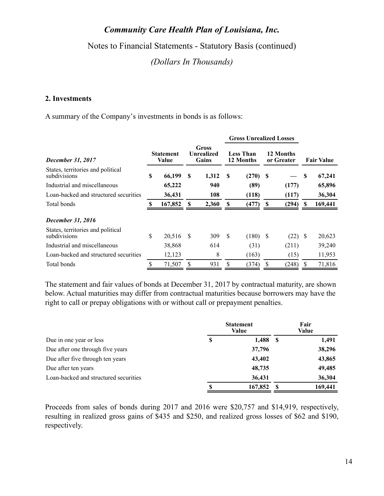Notes to Financial Statements - Statutory Basis (continued)

### *(Dollars In Thousands)*

#### **2. Investments**

A summary of the Company's investments in bonds is as follows:

|                                                   |    |                           |    |                                            |               | <b>Gross Unrealized Losses</b> |     |                         |     |                   |
|---------------------------------------------------|----|---------------------------|----|--------------------------------------------|---------------|--------------------------------|-----|-------------------------|-----|-------------------|
| December 31, 2017                                 |    | <b>Statement</b><br>Value |    | <b>Gross</b><br><b>Unrealized</b><br>Gains |               | <b>Less Than</b><br>12 Months  |     | 12 Months<br>or Greater |     | <b>Fair Value</b> |
| States, territories and political<br>subdivisions | S  | 66,199                    | S  | 1,312                                      | S             | (270)                          | -S  |                         | S   | 67,241            |
| Industrial and miscellaneous                      |    | 65,222                    |    | 940                                        |               | (89)                           |     | (177)                   |     | 65,896            |
| Loan-backed and structured securities             |    | 36,431                    |    | 108                                        |               | (118)                          |     | (117)                   |     | 36,304            |
| Total bonds                                       |    | 167,852                   | -S | 2,360                                      | -S            | (477)                          | -8  | (294)                   | \$. | 169,441           |
| December 31, 2016                                 |    |                           |    |                                            |               |                                |     |                         |     |                   |
| States, territories and political<br>subdivisions | \$ | 20,516                    | -S | 309                                        | <sup>\$</sup> | (180)                          | -S  | (22)                    | -S  | 20,623            |
| Industrial and miscellaneous                      |    | 38,868                    |    | 614                                        |               | (31)                           |     | (211)                   |     | 39,240            |
| Loan-backed and structured securities             |    | 12,123                    |    | 8                                          |               | (163)                          |     | (15)                    |     | 11,953            |
| Total bonds                                       |    | 71,507                    |    | 931                                        |               | (374)                          | \$. | (248)                   |     | 71,816            |

The statement and fair values of bonds at December 31, 2017 by contractual maturity, are shown below. Actual maturities may differ from contractual maturities because borrowers may have the right to call or prepay obligations with or without call or prepayment penalties.

|                                       | <b>Statement</b><br>Value |      |         |  |
|---------------------------------------|---------------------------|------|---------|--|
| Due in one year or less               | \$<br>1,488               | - \$ | 1,491   |  |
| Due after one through five years      | 37,796                    |      | 38,296  |  |
| Due after five through ten years      | 43,402                    |      | 43,865  |  |
| Due after ten years                   | 48,735                    |      | 49,485  |  |
| Loan-backed and structured securities | 36,431                    |      | 36,304  |  |
|                                       | \$<br>167,852             |      | 169,441 |  |

Proceeds from sales of bonds during 2017 and 2016 were \$20,757 and \$14,919, respectively, resulting in realized gross gains of \$435 and \$250, and realized gross losses of \$62 and \$190, respectively.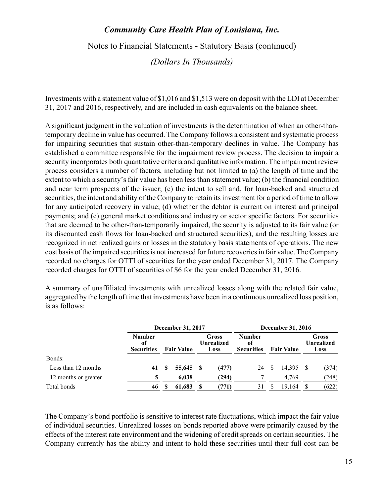Notes to Financial Statements - Statutory Basis (continued)

*(Dollars In Thousands)*

Investments with a statement value of \$1,016 and \$1,513 were on deposit with the LDI at December 31, 2017 and 2016, respectively, and are included in cash equivalents on the balance sheet.

A significant judgment in the valuation of investments is the determination of when an other-thantemporary decline in value has occurred. The Company follows a consistent and systematic process for impairing securities that sustain other-than-temporary declines in value. The Company has established a committee responsible for the impairment review process. The decision to impair a security incorporates both quantitative criteria and qualitative information. The impairment review process considers a number of factors, including but not limited to (a) the length of time and the extent to which a security's fair value has been less than statement value; (b) the financial condition and near term prospects of the issuer; (c) the intent to sell and, for loan-backed and structured securities, the intent and ability of the Company to retain its investment for a period of time to allow for any anticipated recovery in value; (d) whether the debtor is current on interest and principal payments; and (e) general market conditions and industry or sector specific factors. For securities that are deemed to be other-than-temporarily impaired, the security is adjusted to its fair value (or its discounted cash flows for loan-backed and structured securities), and the resulting losses are recognized in net realized gains or losses in the statutory basis statements of operations. The new cost basis of the impaired securities is not increased for future recoveries in fair value. The Company recorded no charges for OTTI of securities for the year ended December 31, 2017. The Company recorded charges for OTTI of securities of \$6 for the year ended December 31, 2016.

A summary of unaffiliated investments with unrealized losses along with the related fair value, aggregated by the length of time that investments have been in a continuous unrealized loss position, is as follows:

|                      | December 31, 2017                        |   |                   |     |                             | <b>December 31, 2016</b>                 |    |                   |  |                                           |
|----------------------|------------------------------------------|---|-------------------|-----|-----------------------------|------------------------------------------|----|-------------------|--|-------------------------------------------|
|                      | <b>Number</b><br>of<br><b>Securities</b> |   | <b>Fair Value</b> |     | Gross<br>Unrealized<br>Loss | <b>Number</b><br>of<br><b>Securities</b> |    | <b>Fair Value</b> |  | <b>Gross</b><br><b>Unrealized</b><br>Loss |
| Bonds:               |                                          |   |                   |     |                             |                                          |    |                   |  |                                           |
| Less than 12 months  | 41                                       | S | 55,645            | - S | (477)                       | 24                                       | -S | 14,395            |  | (374)                                     |
| 12 months or greater | 5                                        |   | 6.038             |     | (294)                       |                                          |    | 4.769             |  | (248)                                     |
| Total bonds          | 46                                       |   | 61,683            | S   | (771)                       | 31                                       |    | 19.164            |  | (622)                                     |

The Company's bond portfolio is sensitive to interest rate fluctuations, which impact the fair value of individual securities. Unrealized losses on bonds reported above were primarily caused by the effects of the interest rate environment and the widening of credit spreads on certain securities. The Company currently has the ability and intent to hold these securities until their full cost can be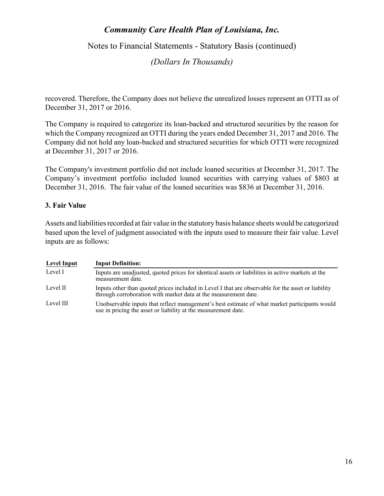Notes to Financial Statements - Statutory Basis (continued)

### *(Dollars In Thousands)*

recovered. Therefore, the Company does not believe the unrealized losses represent an OTTI as of December 31, 2017 or 2016.

The Company is required to categorize its loan-backed and structured securities by the reason for which the Company recognized an OTTI during the years ended December 31, 2017 and 2016. The Company did not hold any loan-backed and structured securities for which OTTI were recognized at December 31, 2017 or 2016.

The Company's investment portfolio did not include loaned securities at December 31, 2017. The Company's investment portfolio included loaned securities with carrying values of \$803 at December 31, 2016. The fair value of the loaned securities was \$836 at December 31, 2016.

#### **3. Fair Value**

Assets and liabilities recorded at fair value in the statutory basis balance sheets would be categorized based upon the level of judgment associated with the inputs used to measure their fair value. Level inputs are as follows:

| Level Input | <b>Input Definition:</b>                                                                                                                                              |
|-------------|-----------------------------------------------------------------------------------------------------------------------------------------------------------------------|
| Level I     | Inputs are unadjusted, quoted prices for identical assets or liabilities in active markets at the<br>measurement date.                                                |
| Level II    | Inputs other than quoted prices included in Level I that are observable for the asset or liability<br>through corroboration with market data at the measurement date. |
| Level III   | Unobservable inputs that reflect management's best estimate of what market participants would<br>use in pricing the asset or liability at the measurement date.       |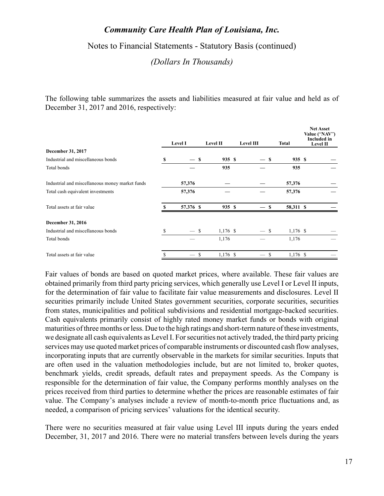Notes to Financial Statements - Statutory Basis (continued)

*(Dollars In Thousands)*

The following table summarizes the assets and liabilities measured at fair value and held as of December 31, 2017 and 2016, respectively:

|                                                 |    | <b>Level I</b> | <b>Level II</b> | <b>Level III</b> | <b>Total</b> | <b>Net Asset</b><br>Value ("NAV")<br><b>Included</b> in<br><b>Level II</b> |
|-------------------------------------------------|----|----------------|-----------------|------------------|--------------|----------------------------------------------------------------------------|
| December 31, 2017                               |    |                |                 |                  |              |                                                                            |
| Industrial and miscellaneous bonds              | S  | $-$ s          | 935S            | -S               | 935S         |                                                                            |
| Total bonds                                     |    |                | 935             |                  | 935          |                                                                            |
| Industrial and miscellaneous money market funds |    | 57,376         |                 |                  | 57,376       |                                                                            |
| Total cash equivalent investments               |    | 57,376         |                 |                  | 57,376       |                                                                            |
| Total assets at fair value                      |    | 57.376 \$      | 935 S           | S                | 58,311 \$    |                                                                            |
| December 31, 2016                               |    |                |                 |                  |              |                                                                            |
| Industrial and miscellaneous bonds              | \$ | $-$ \$         | $1,176$ \$      | — \$             | $1,176$ \$   |                                                                            |
| Total bonds                                     |    |                | 1,176           |                  | 1,176        |                                                                            |
| Total assets at fair value                      | \$ | \$             | $1,176$ \$      | \$               | $1,176$ \$   |                                                                            |

Fair values of bonds are based on quoted market prices, where available. These fair values are obtained primarily from third party pricing services, which generally use Level I or Level II inputs, for the determination of fair value to facilitate fair value measurements and disclosures. Level II securities primarily include United States government securities, corporate securities, securities from states, municipalities and political subdivisions and residential mortgage-backed securities. Cash equivalents primarily consist of highly rated money market funds or bonds with original maturities of three months or less. Due to the high ratings and short-term nature of these investments, we designate all cash equivalents as Level I. For securities not actively traded, the third party pricing services may use quoted market prices of comparable instruments or discounted cash flow analyses, incorporating inputs that are currently observable in the markets for similar securities. Inputs that are often used in the valuation methodologies include, but are not limited to, broker quotes, benchmark yields, credit spreads, default rates and prepayment speeds. As the Company is responsible for the determination of fair value, the Company performs monthly analyses on the prices received from third parties to determine whether the prices are reasonable estimates of fair value. The Company's analyses include a review of month-to-month price fluctuations and, as needed, a comparison of pricing services' valuations for the identical security.

There were no securities measured at fair value using Level III inputs during the years ended December, 31, 2017 and 2016. There were no material transfers between levels during the years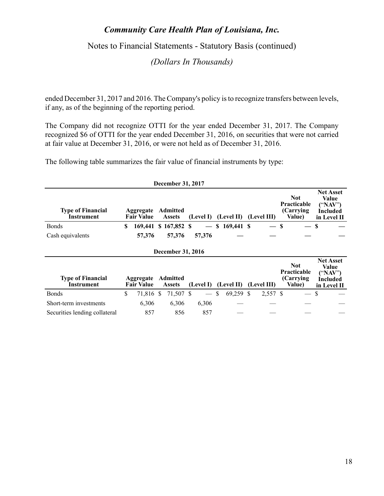Notes to Financial Statements - Statutory Basis (continued)

### *(Dollars In Thousands)*

ended December 31, 2017 and 2016. The Company's policy is to recognize transfers between levels, if any, as of the beginning of the reporting period.

The Company did not recognize OTTI for the year ended December 31, 2017. The Company recognized \$6 of OTTI for the year ended December 31, 2016, on securities that were not carried at fair value at December 31, 2016, or were not held as of December 31, 2016.

The following table summarizes the fair value of financial instruments by type:

|                                               | December 31, 2017              |                                  |           |               |             |                                                   |                                                                        |  |  |
|-----------------------------------------------|--------------------------------|----------------------------------|-----------|---------------|-------------|---------------------------------------------------|------------------------------------------------------------------------|--|--|
| <b>Type of Financial</b><br><b>Instrument</b> | Aggregate<br><b>Fair Value</b> | Admitted<br><b>Assets</b>        | (Level I) | (Level II)    | (Level III) | <b>Not</b><br>Practicable<br>(Carrying)<br>Value) | <b>Net Asset</b><br>Value<br>("NAV")<br><b>Included</b><br>in Level II |  |  |
| <b>Bonds</b>                                  | S                              | 169,441 \$ 167,852 \$            |           | $$169,441$ \$ |             | \$                                                | \$                                                                     |  |  |
| Cash equivalents                              | 57,376                         | 57,376                           | 57,376    |               |             |                                                   |                                                                        |  |  |
|                                               | <b>December 31, 2016</b>       |                                  |           |               |             |                                                   |                                                                        |  |  |
| <b>Type of Financial</b><br><b>Instrument</b> | Aggregate<br><b>Fair Value</b> | <b>Admitted</b><br><b>Assets</b> | (Level I) | (Level II)    | (Level III) | <b>Not</b><br>Practicable<br>(Carrying)<br>Value) | <b>Net Asset</b><br>Value<br>("NAV")<br><b>Included</b><br>in Level II |  |  |
| <b>Bonds</b>                                  | \$<br>71,816 \$                | 71,507 \$                        | $-$ \$    | 69,259 \$     | 2,557 \$    |                                                   | \$                                                                     |  |  |
| Short-term investments                        | 6,306                          | 6,306                            | 6,306     |               |             |                                                   |                                                                        |  |  |
| Securities lending collateral                 | 857                            | 856                              | 857       |               |             |                                                   |                                                                        |  |  |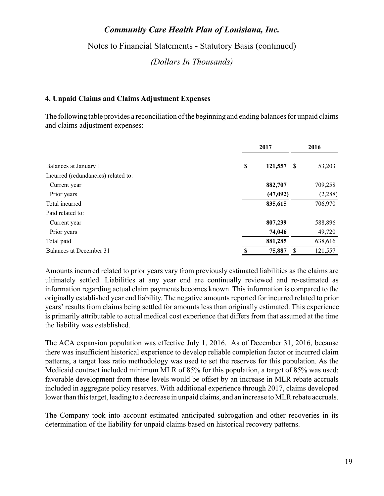Notes to Financial Statements - Statutory Basis (continued)

*(Dollars In Thousands)*

#### **4. Unpaid Claims and Claims Adjustment Expenses**

The following table provides a reconciliation of the beginning and ending balances for unpaid claims and claims adjustment expenses:

|                                     |    | 2017     | 2016 |          |  |
|-------------------------------------|----|----------|------|----------|--|
| Balances at January 1               | \$ | 121,557  | \$   | 53,203   |  |
| Incurred (redundancies) related to: |    |          |      |          |  |
| Current year                        |    | 882,707  |      | 709,258  |  |
| Prior years                         |    | (47,092) |      | (2, 288) |  |
| Total incurred                      |    | 835,615  |      | 706,970  |  |
| Paid related to:                    |    |          |      |          |  |
| Current year                        |    | 807,239  |      | 588,896  |  |
| Prior years                         |    | 74,046   |      | 49,720   |  |
| Total paid                          |    | 881,285  |      | 638,616  |  |
| Balances at December 31             | S  | 75,887   | S    | 121,557  |  |

Amounts incurred related to prior years vary from previously estimated liabilities as the claims are ultimately settled. Liabilities at any year end are continually reviewed and re-estimated as information regarding actual claim payments becomes known. This information is compared to the originally established year end liability. The negative amounts reported for incurred related to prior years' results from claims being settled for amounts less than originally estimated. This experience is primarily attributable to actual medical cost experience that differs from that assumed at the time the liability was established.

The ACA expansion population was effective July 1, 2016. As of December 31, 2016, because there was insufficient historical experience to develop reliable completion factor or incurred claim patterns, a target loss ratio methodology was used to set the reserves for this population. As the Medicaid contract included minimum MLR of 85% for this population, a target of 85% was used; favorable development from these levels would be offset by an increase in MLR rebate accruals included in aggregate policy reserves. With additional experience through 2017, claims developed lower than this target, leading to a decrease in unpaid claims, and an increase to MLR rebate accruals.

The Company took into account estimated anticipated subrogation and other recoveries in its determination of the liability for unpaid claims based on historical recovery patterns.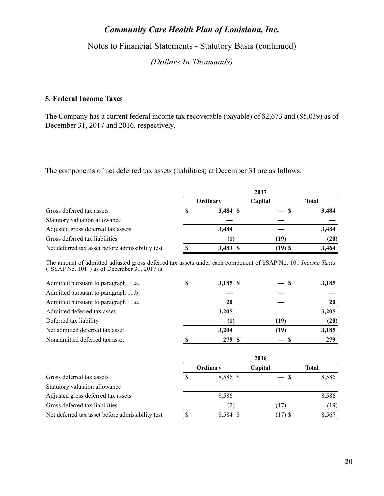Notes to Financial Statements - Statutory Basis (continued)

*(Dollars In Thousands)*

#### **5. Federal Income Taxes**

The Company has a current federal income tax recoverable (payable) of \$2,673 and (\$5,039) as of December 31, 2017 and 2016, respectively.

The components of net deferred tax assets (liabilities) at December 31 are as follows:

|                                                  | 2017 |          |         |       |  |  |  |
|--------------------------------------------------|------|----------|---------|-------|--|--|--|
|                                                  |      | Ordinary | Capital | Total |  |  |  |
| Gross deferred tax assets                        | S    | 3,484 \$ | — S     | 3,484 |  |  |  |
| Statutory valuation allowance                    |      |          |         |       |  |  |  |
| Adjusted gross deferred tax assets               |      | 3,484    |         | 3,484 |  |  |  |
| Gross deferred tax liabilities                   |      | (1)      | (19)    | (20)  |  |  |  |
| Net deferred tax asset before admissibility test |      | 3,483 \$ | (19) S  | 3,464 |  |  |  |

The amount of admitted adjusted gross deferred tax assets under each component of SSAP No. 101 *Income Taxes* ("SSAP No. 101") as of December 31, 2017 is:

| Admitted pursuant to paragraph 11.a. | $3,185$ \$ | - S<br>$\overline{\phantom{0}}$ | 3,185 |
|--------------------------------------|------------|---------------------------------|-------|
| Admitted pursuant to paragraph 11.b. |            |                                 |       |
| Admitted pursuant to paragraph 11.c. | 20         |                                 | 20    |
| Admitted deferred tax asset          | 3,205      |                                 | 3,205 |
| Deferred tax liability               | (1)        | (19)                            | (20)  |
| Net admitted deferred tax asset      | 3.204      | (19)                            | 3,185 |
| Nonadmitted deferred tax asset       | 279 S      |                                 | 279   |

|                                                  | 2016 |          |         |       |  |  |  |
|--------------------------------------------------|------|----------|---------|-------|--|--|--|
|                                                  |      | Ordinary | Capital | Total |  |  |  |
| Gross deferred tax assets                        | S    | 8,586 \$ |         | 8,586 |  |  |  |
| Statutory valuation allowance                    |      |          |         |       |  |  |  |
| Adjusted gross deferred tax assets               |      | 8,586    |         | 8,586 |  |  |  |
| Gross deferred tax liabilities                   |      | (2)      | (17)    | (19)  |  |  |  |
| Net deferred tax asset before admissibility test |      | 8,584 \$ |         | 8,567 |  |  |  |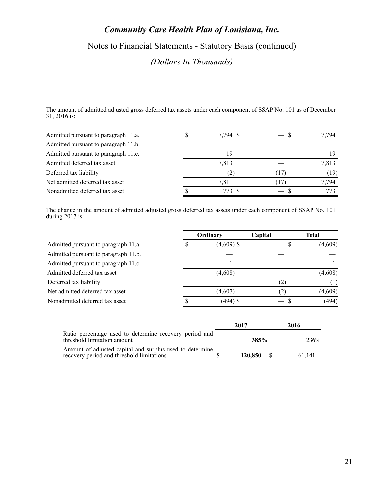Notes to Financial Statements - Statutory Basis (continued)

### *(Dollars In Thousands)*

The amount of admitted adjusted gross deferred tax assets under each component of SSAP No. 101 as of December 31, 2016 is:

| Admitted pursuant to paragraph 11.a. | 7,794 \$ | $-$ S | 7.794 |
|--------------------------------------|----------|-------|-------|
| Admitted pursuant to paragraph 11.b. |          |       |       |
| Admitted pursuant to paragraph 11.c. | 19       |       | 19    |
| Admitted deferred tax asset          | 7,813    |       | 7,813 |
| Deferred tax liability               |          | (17)  | (19)  |
| Net admitted deferred tax asset      | 7.811    | (17)  | 7.794 |
| Nonadmitted deferred tax asset       | 773.     |       | 773   |

The change in the amount of admitted adjusted gross deferred tax assets under each component of SSAP No. 101 during 2017 is:

|                                      | Ordinary     | Capital | <b>Total</b> |
|--------------------------------------|--------------|---------|--------------|
| Admitted pursuant to paragraph 11.a. | $(4,609)$ \$ | P       | (4,609)      |
| Admitted pursuant to paragraph 11.b. |              |         |              |
| Admitted pursuant to paragraph 11.c. |              |         |              |
| Admitted deferred tax asset          | (4,608)      |         | (4,608)      |
| Deferred tax liability               |              | (2)     | (1)          |
| Net admitted deferred tax asset      | (4,607)      | (2)     | (4,609)      |
| Nonadmitted deferred tax asset       | (494) \$     | -8      | (494)        |

|                                                                                                       | 2017           | 2016 |        |
|-------------------------------------------------------------------------------------------------------|----------------|------|--------|
| Ratio percentage used to determine recovery period and<br>threshold limitation amount                 | 385%           |      | 236%   |
| Amount of adjusted capital and surplus used to determine<br>recovery period and threshold limitations | 120.850<br>- S |      | 61.141 |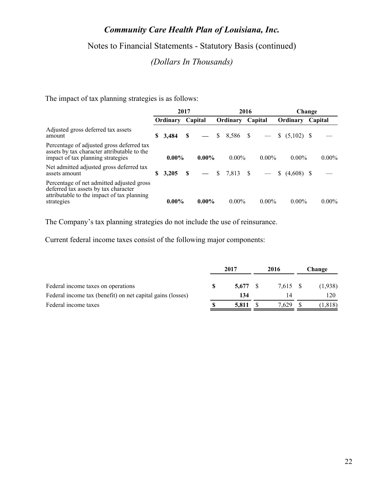Notes to Financial Statements - Statutory Basis (continued)

### *(Dollars In Thousands)*

The impact of tax planning strategies is as follows:

|                                                                                                                                               | 2017 |          |   | 2016     |               |          |     | Change   |                    |          |
|-----------------------------------------------------------------------------------------------------------------------------------------------|------|----------|---|----------|---------------|----------|-----|----------|--------------------|----------|
|                                                                                                                                               |      | Ordinary |   | Capital  |               | Ordinary |     | Capital  | Ordinary           | Capital  |
| Adjusted gross deferred tax assets<br>amount                                                                                                  | \$   | 3,484    | S |          | <sup>\$</sup> | 8,586    | - S |          | \$ (5,102) \$      |          |
| Percentage of adjusted gross deferred tax<br>assets by tax character attributable to the<br>impact of tax planning strategies                 |      | $0.00\%$ |   | $0.00\%$ |               | $0.00\%$ |     | $0.00\%$ | $0.00\%$           | $0.00\%$ |
| Net admitted adjusted gross deferred tax<br>assets amount                                                                                     | S    | 3.205    | S |          | <sup>\$</sup> | 7,813    | - S |          | S.<br>$(4,608)$ \$ |          |
| Percentage of net admitted adjusted gross<br>deferred tax assets by tax character<br>attributable to the impact of tax planning<br>strategies |      | $0.00\%$ |   | $0.00\%$ |               | $0.00\%$ |     | $0.00\%$ | $0.00\%$           | $0.00\%$ |

The Company's tax planning strategies do not include the use of reinsurance.

Current federal income taxes consist of the following major components:

|                                                            | 2017 |         | 2016     | Change |         |
|------------------------------------------------------------|------|---------|----------|--------|---------|
| Federal income taxes on operations                         |      | 5.677 S | 7.615 \$ |        | (1,938) |
| Federal income tax (benefit) on net capital gains (losses) |      | 134     |          |        | 120     |
| Federal income taxes                                       |      | 5.811   | 7.629    |        | (1,818) |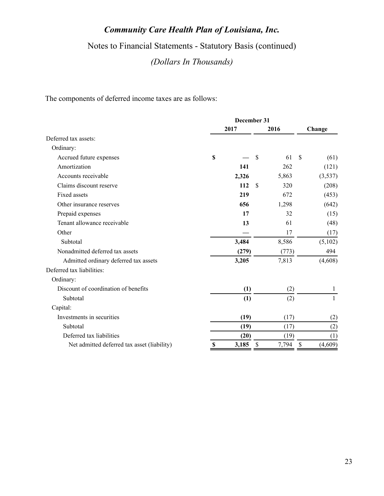Notes to Financial Statements - Statutory Basis (continued)

*(Dollars In Thousands)*

The components of deferred income taxes are as follows:

|                                             | December 31 |       |                           |       |             |              |
|---------------------------------------------|-------------|-------|---------------------------|-------|-------------|--------------|
|                                             |             | 2017  |                           | 2016  |             | Change       |
| Deferred tax assets:                        |             |       |                           |       |             |              |
| Ordinary:                                   |             |       |                           |       |             |              |
| Accrued future expenses                     | \$          |       | \$                        | 61    | \$          | (61)         |
| Amortization                                |             | 141   |                           | 262   |             | (121)        |
| Accounts receivable                         |             | 2,326 |                           | 5,863 |             | (3,537)      |
| Claims discount reserve                     |             | 112   | \$                        | 320   |             | (208)        |
| Fixed assets                                |             | 219   |                           | 672   |             | (453)        |
| Other insurance reserves                    |             | 656   |                           | 1,298 |             | (642)        |
| Prepaid expenses                            |             | 17    |                           | 32    |             | (15)         |
| Tenant allowance receivable                 |             | 13    |                           | 61    |             | (48)         |
| Other                                       |             |       |                           | 17    |             | (17)         |
| Subtotal                                    |             | 3,484 |                           | 8,586 |             | (5,102)      |
| Nonadmitted deferred tax assets             |             | (279) |                           | (773) |             | 494          |
| Admitted ordinary deferred tax assets       |             | 3,205 |                           | 7,813 |             | (4,608)      |
| Deferred tax liabilities:                   |             |       |                           |       |             |              |
| Ordinary:                                   |             |       |                           |       |             |              |
| Discount of coordination of benefits        |             | (1)   |                           | (2)   |             | 1            |
| Subtotal                                    |             | (1)   |                           | (2)   |             | $\mathbf{1}$ |
| Capital:                                    |             |       |                           |       |             |              |
| Investments in securities                   |             | (19)  |                           | (17)  |             | (2)          |
| Subtotal                                    |             | (19)  |                           | (17)  |             | (2)          |
| Deferred tax liabilities                    |             | (20)  |                           | (19)  |             | (1)          |
| Net admitted deferred tax asset (liability) | \$          | 3,185 | $\boldsymbol{\mathsf{S}}$ | 7,794 | $\mathbb S$ | (4,609)      |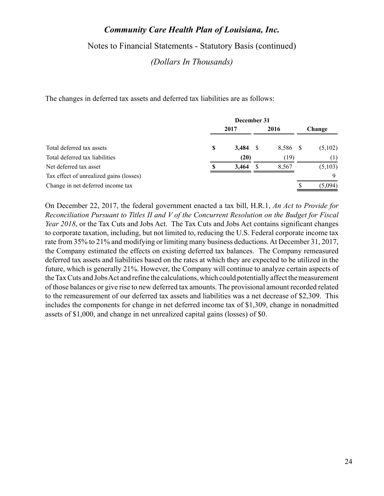Notes to Financial Statements - Statutory Basis (continued)

*(Dollars In Thousands)*

The changes in deferred tax assets and deferred tax liabilities are as follows:

|                                         | 2017 | 2016  | Change   |  |         |
|-----------------------------------------|------|-------|----------|--|---------|
| Total deferred tax assets               | S    | 3,484 | 8,586 \$ |  | (5,102) |
| Total deferred tax liabilities          |      | (20)  | (19)     |  | (1)     |
| Net deferred tax asset                  |      | 3,464 | 8,567    |  | (5,103) |
| Tax effect of unrealized gains (losses) |      |       |          |  | 9       |
| Change in net deferred income tax       |      |       |          |  | (5,094) |

On December 22, 2017, the federal government enacted a tax bill, H.R.1, *An Act to Provide for Reconciliation Pursuant to Titles II and V of the Concurrent Resolution on the Budget for Fiscal Year 2018*, or the Tax Cuts and Jobs Act. The Tax Cuts and Jobs Act contains significant changes to corporate taxation, including, but not limited to, reducing the U.S. Federal corporate income tax rate from 35% to 21% and modifying or limiting many business deductions. At December 31, 2017, the Company estimated the effects on existing deferred tax balances. The Company remeasured deferred tax assets and liabilities based on the rates at which they are expected to be utilized in the future, which is generally 21%. However, the Company will continue to analyze certain aspects of the Tax Cuts and Jobs Act and refine the calculations, which could potentially affect the measurement of those balances or give rise to new deferred tax amounts. The provisional amount recorded related to the remeasurement of our deferred tax assets and liabilities was a net decrease of \$2,309. This includes the components for change in net deferred income tax of \$1,309, change in nonadmitted assets of \$1,000, and change in net unrealized capital gains (losses) of \$0.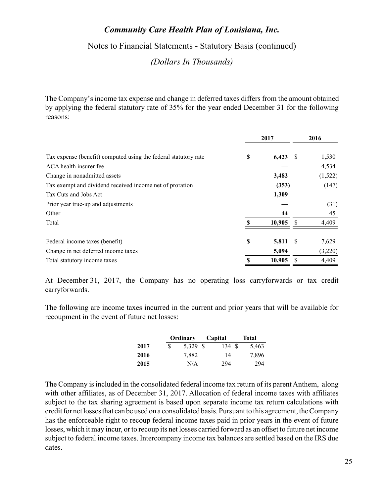Notes to Financial Statements - Statutory Basis (continued)

### *(Dollars In Thousands)*

The Company's income tax expense and change in deferred taxes differs from the amount obtained by applying the federal statutory rate of 35% for the year ended December 31 for the following reasons:

|                                                                 |    | 2017   |      | 2016    |
|-----------------------------------------------------------------|----|--------|------|---------|
| Tax expense (benefit) computed using the federal statutory rate | \$ | 6,423  | - \$ | 1,530   |
| ACA health insurer fee                                          |    |        |      | 4,534   |
| Change in nonadmitted assets                                    |    | 3,482  |      | (1,522) |
| Tax exempt and dividend received income net of proration        |    | (353)  |      | (147)   |
| Tax Cuts and Jobs Act                                           |    | 1,309  |      |         |
| Prior year true-up and adjustments                              |    |        |      | (31)    |
| Other                                                           |    | 44     |      | 45      |
| Total                                                           | Я  | 10,905 |      | 4,409   |
| Federal income taxes (benefit)                                  | S  | 5,811  | - \$ | 7,629   |
| Change in net deferred income taxes                             |    | 5,094  |      | (3,220) |
| Total statutory income taxes                                    | S  | 10.905 | \$   | 4.409   |

At December 31, 2017, the Company has no operating loss carryforwards or tax credit carryforwards.

The following are income taxes incurred in the current and prior years that will be available for recoupment in the event of future net losses:

|      |   | Ordinary | Capital | Total |
|------|---|----------|---------|-------|
| 2017 | S | 5.329 \$ | 134 S   | 5,463 |
| 2016 |   | 7,882    | 14      | 7,896 |
| 2015 |   | N/A      | 294     | 294   |

The Company is included in the consolidated federal income tax return of its parent Anthem, along with other affiliates, as of December 31, 2017. Allocation of federal income taxes with affiliates subject to the tax sharing agreement is based upon separate income tax return calculations with credit for net losses that can be used on a consolidated basis. Pursuant to this agreement, the Company has the enforceable right to recoup federal income taxes paid in prior years in the event of future losses, which it may incur, or to recoup its net losses carried forward as an offset to future net income subject to federal income taxes. Intercompany income tax balances are settled based on the IRS due dates.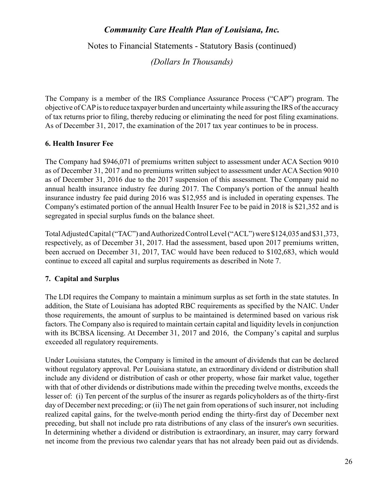Notes to Financial Statements - Statutory Basis (continued)

*(Dollars In Thousands)*

The Company is a member of the IRS Compliance Assurance Process ("CAP") program. The objective of CAP is to reduce taxpayer burden and uncertainty while assuring the IRS of the accuracy of tax returns prior to filing, thereby reducing or eliminating the need for post filing examinations. As of December 31, 2017, the examination of the 2017 tax year continues to be in process.

### **6. Health Insurer Fee**

The Company had \$946,071 of premiums written subject to assessment under ACA Section 9010 as of December 31, 2017 and no premiums written subject to assessment under ACA Section 9010 as of December 31, 2016 due to the 2017 suspension of this assessment. The Company paid no annual health insurance industry fee during 2017. The Company's portion of the annual health insurance industry fee paid during 2016 was \$12,955 and is included in operating expenses. The Company's estimated portion of the annual Health Insurer Fee to be paid in 2018 is \$21,352 and is segregated in special surplus funds on the balance sheet.

Total Adjusted Capital ("TAC") and Authorized Control Level ("ACL") were \$124,035 and \$31,373, respectively, as of December 31, 2017. Had the assessment, based upon 2017 premiums written, been accrued on December 31, 2017, TAC would have been reduced to \$102,683, which would continue to exceed all capital and surplus requirements as described in Note 7.

### **7. Capital and Surplus**

The LDI requires the Company to maintain a minimum surplus as set forth in the state statutes. In addition, the State of Louisiana has adopted RBC requirements as specified by the NAIC. Under those requirements, the amount of surplus to be maintained is determined based on various risk factors. The Company also is required to maintain certain capital and liquidity levels in conjunction with its BCBSA licensing. At December 31, 2017 and 2016, the Company's capital and surplus exceeded all regulatory requirements.

Under Louisiana statutes, the Company is limited in the amount of dividends that can be declared without regulatory approval. Per Louisiana statute, an extraordinary dividend or distribution shall include any dividend or distribution of cash or other property, whose fair market value, together with that of other dividends or distributions made within the preceding twelve months, exceeds the lesser of: (i) Ten percent of the surplus of the insurer as regards policyholders as of the thirty-first day of December next preceding; or (ii) The net gain from operations of such insurer, not including realized capital gains, for the twelve-month period ending the thirty-first day of December next preceding, but shall not include pro rata distributions of any class of the insurer's own securities. In determining whether a dividend or distribution is extraordinary, an insurer, may carry forward net income from the previous two calendar years that has not already been paid out as dividends.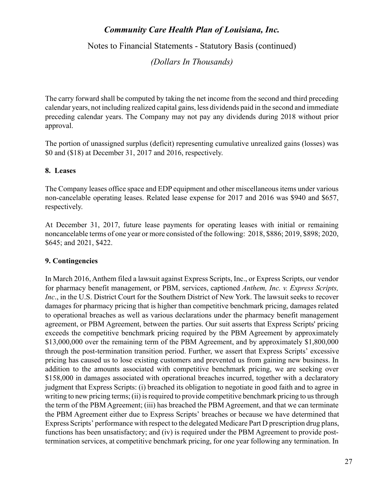Notes to Financial Statements - Statutory Basis (continued)

### *(Dollars In Thousands)*

The carry forward shall be computed by taking the net income from the second and third preceding calendar years, not including realized capital gains, less dividends paid in the second and immediate preceding calendar years. The Company may not pay any dividends during 2018 without prior approval.

The portion of unassigned surplus (deficit) representing cumulative unrealized gains (losses) was \$0 and (\$18) at December 31, 2017 and 2016, respectively.

#### **8. Leases**

The Company leases office space and EDP equipment and other miscellaneous items under various non-cancelable operating leases. Related lease expense for 2017 and 2016 was \$940 and \$657, respectively.

At December 31, 2017, future lease payments for operating leases with initial or remaining noncancelable terms of one year or more consisted of the following: 2018, \$886; 2019, \$898; 2020, \$645; and 2021, \$422.

#### **9. Contingencies**

In March 2016, Anthem filed a lawsuit against Express Scripts, Inc., or Express Scripts, our vendor for pharmacy benefit management, or PBM, services, captioned *Anthem, Inc. v. Express Scripts, Inc*., in the U.S. District Court for the Southern District of New York. The lawsuit seeks to recover damages for pharmacy pricing that is higher than competitive benchmark pricing, damages related to operational breaches as well as various declarations under the pharmacy benefit management agreement, or PBM Agreement, between the parties. Our suit asserts that Express Scripts' pricing exceeds the competitive benchmark pricing required by the PBM Agreement by approximately \$13,000,000 over the remaining term of the PBM Agreement, and by approximately \$1,800,000 through the post-termination transition period. Further, we assert that Express Scripts' excessive pricing has caused us to lose existing customers and prevented us from gaining new business. In addition to the amounts associated with competitive benchmark pricing, we are seeking over \$158,000 in damages associated with operational breaches incurred, together with a declaratory judgment that Express Scripts: (i) breached its obligation to negotiate in good faith and to agree in writing to new pricing terms; (ii) is required to provide competitive benchmark pricing to us through the term of the PBM Agreement; (iii) has breached the PBM Agreement, and that we can terminate the PBM Agreement either due to Express Scripts' breaches or because we have determined that Express Scripts' performance with respect to the delegated Medicare Part D prescription drug plans, functions has been unsatisfactory; and (iv) is required under the PBM Agreement to provide posttermination services, at competitive benchmark pricing, for one year following any termination. In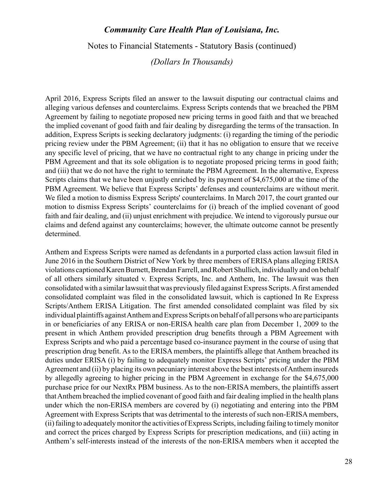Notes to Financial Statements - Statutory Basis (continued)

*(Dollars In Thousands)*

April 2016, Express Scripts filed an answer to the lawsuit disputing our contractual claims and alleging various defenses and counterclaims. Express Scripts contends that we breached the PBM Agreement by failing to negotiate proposed new pricing terms in good faith and that we breached the implied covenant of good faith and fair dealing by disregarding the terms of the transaction. In addition, Express Scripts is seeking declaratory judgments: (i) regarding the timing of the periodic pricing review under the PBM Agreement; (ii) that it has no obligation to ensure that we receive any specific level of pricing, that we have no contractual right to any change in pricing under the PBM Agreement and that its sole obligation is to negotiate proposed pricing terms in good faith; and (iii) that we do not have the right to terminate the PBM Agreement. In the alternative, Express Scripts claims that we have been unjustly enriched by its payment of \$4,675,000 at the time of the PBM Agreement. We believe that Express Scripts' defenses and counterclaims are without merit. We filed a motion to dismiss Express Scripts' counterclaims. In March 2017, the court granted our motion to dismiss Express Scripts' counterclaims for (i) breach of the implied covenant of good faith and fair dealing, and (ii) unjust enrichment with prejudice. We intend to vigorously pursue our claims and defend against any counterclaims; however, the ultimate outcome cannot be presently determined.

Anthem and Express Scripts were named as defendants in a purported class action lawsuit filed in June 2016 in the Southern District of New York by three members of ERISA plans alleging ERISA violations captioned Karen Burnett, Brendan Farrell, and Robert Shullich, individually and on behalf of all others similarly situated v. Express Scripts, Inc. and Anthem, Inc. The lawsuit was then consolidated with a similar lawsuit that was previously filed against Express Scripts. A first amended consolidated complaint was filed in the consolidated lawsuit, which is captioned In Re Express Scripts/Anthem ERISA Litigation. The first amended consolidated complaint was filed by six individual plaintiffs against Anthem and Express Scripts on behalf of all persons who are participants in or beneficiaries of any ERISA or non-ERISA health care plan from December 1, 2009 to the present in which Anthem provided prescription drug benefits through a PBM Agreement with Express Scripts and who paid a percentage based co-insurance payment in the course of using that prescription drug benefit. As to the ERISA members, the plaintiffs allege that Anthem breached its duties under ERISA (i) by failing to adequately monitor Express Scripts' pricing under the PBM Agreement and (ii) by placing its own pecuniary interest above the best interests of Anthem insureds by allegedly agreeing to higher pricing in the PBM Agreement in exchange for the \$4,675,000 purchase price for our NextRx PBM business. As to the non-ERISA members, the plaintiffs assert that Anthem breached the implied covenant of good faith and fair dealing implied in the health plans under which the non-ERISA members are covered by (i) negotiating and entering into the PBM Agreement with Express Scripts that was detrimental to the interests of such non-ERISA members, (ii) failing to adequately monitor the activities of Express Scripts, including failing to timely monitor and correct the prices charged by Express Scripts for prescription medications, and (iii) acting in Anthem's self-interests instead of the interests of the non-ERISA members when it accepted the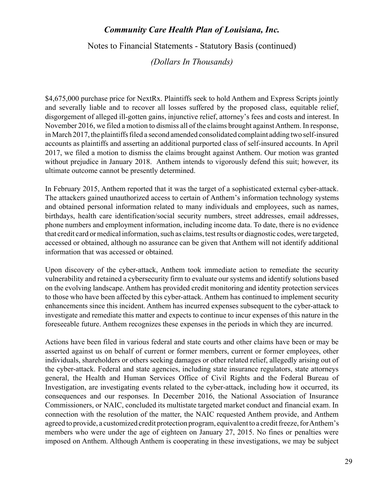Notes to Financial Statements - Statutory Basis (continued)

### *(Dollars In Thousands)*

\$4,675,000 purchase price for NextRx. Plaintiffs seek to hold Anthem and Express Scripts jointly and severally liable and to recover all losses suffered by the proposed class, equitable relief, disgorgement of alleged ill-gotten gains, injunctive relief, attorney's fees and costs and interest. In November 2016, we filed a motion to dismiss all of the claims brought against Anthem. In response, in March 2017, the plaintiffs filed a second amended consolidated complaint adding two self-insured accounts as plaintiffs and asserting an additional purported class of self-insured accounts. In April 2017, we filed a motion to dismiss the claims brought against Anthem. Our motion was granted without prejudice in January 2018. Anthem intends to vigorously defend this suit; however, its ultimate outcome cannot be presently determined.

In February 2015, Anthem reported that it was the target of a sophisticated external cyber-attack. The attackers gained unauthorized access to certain of Anthem's information technology systems and obtained personal information related to many individuals and employees, such as names, birthdays, health care identification/social security numbers, street addresses, email addresses, phone numbers and employment information, including income data. To date, there is no evidence that credit card or medical information, such as claims, test results or diagnostic codes, were targeted, accessed or obtained, although no assurance can be given that Anthem will not identify additional information that was accessed or obtained.

Upon discovery of the cyber-attack, Anthem took immediate action to remediate the security vulnerability and retained a cybersecurity firm to evaluate our systems and identify solutions based on the evolving landscape. Anthem has provided credit monitoring and identity protection services to those who have been affected by this cyber-attack. Anthem has continued to implement security enhancements since this incident. Anthem has incurred expenses subsequent to the cyber-attack to investigate and remediate this matter and expects to continue to incur expenses of this nature in the foreseeable future. Anthem recognizes these expenses in the periods in which they are incurred.

Actions have been filed in various federal and state courts and other claims have been or may be asserted against us on behalf of current or former members, current or former employees, other individuals, shareholders or others seeking damages or other related relief, allegedly arising out of the cyber-attack. Federal and state agencies, including state insurance regulators, state attorneys general, the Health and Human Services Office of Civil Rights and the Federal Bureau of Investigation, are investigating events related to the cyber-attack, including how it occurred, its consequences and our responses. In December 2016, the National Association of Insurance Commissioners, or NAIC, concluded its multistate targeted market conduct and financial exam. In connection with the resolution of the matter, the NAIC requested Anthem provide, and Anthem agreed to provide, a customized credit protection program, equivalent to a credit freeze, for Anthem's members who were under the age of eighteen on January 27, 2015. No fines or penalties were imposed on Anthem. Although Anthem is cooperating in these investigations, we may be subject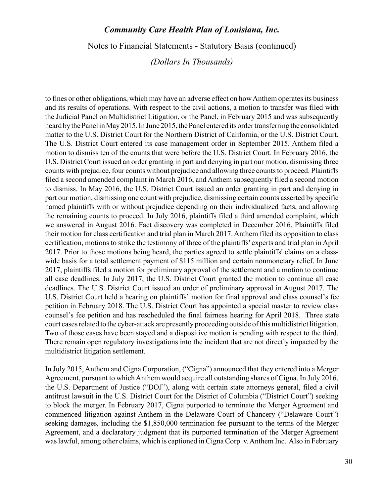Notes to Financial Statements - Statutory Basis (continued)

*(Dollars In Thousands)*

to fines or other obligations, which may have an adverse effect on how Anthem operates its business and its results of operations. With respect to the civil actions, a motion to transfer was filed with the Judicial Panel on Multidistrict Litigation, or the Panel, in February 2015 and was subsequently heard by the Panel in May 2015. In June 2015, the Panel entered its order transferring the consolidated matter to the U.S. District Court for the Northern District of California, or the U.S. District Court. The U.S. District Court entered its case management order in September 2015. Anthem filed a motion to dismiss ten of the counts that were before the U.S. District Court. In February 2016, the U.S. District Court issued an order granting in part and denying in part our motion, dismissing three counts with prejudice, four counts without prejudice and allowing three counts to proceed. Plaintiffs filed a second amended complaint in March 2016, and Anthem subsequently filed a second motion to dismiss. In May 2016, the U.S. District Court issued an order granting in part and denying in part our motion, dismissing one count with prejudice, dismissing certain counts asserted by specific named plaintiffs with or without prejudice depending on their individualized facts, and allowing the remaining counts to proceed. In July 2016, plaintiffs filed a third amended complaint, which we answered in August 2016. Fact discovery was completed in December 2016. Plaintiffs filed their motion for class certification and trial plan in March 2017. Anthem filed its opposition to class certification, motions to strike the testimony of three of the plaintiffs' experts and trial plan in April 2017. Prior to those motions being heard, the parties agreed to settle plaintiffs' claims on a classwide basis for a total settlement payment of \$115 million and certain nonmonetary relief. In June 2017, plaintiffs filed a motion for preliminary approval of the settlement and a motion to continue all case deadlines. In July 2017, the U.S. District Court granted the motion to continue all case deadlines. The U.S. District Court issued an order of preliminary approval in August 2017. The U.S. District Court held a hearing on plaintiffs' motion for final approval and class counsel's fee petition in February 2018. The U.S. District Court has appointed a special master to review class counsel's fee petition and has rescheduled the final fairness hearing for April 2018. Three state court cases related to the cyber-attack are presently proceeding outside of this multidistrict litigation. Two of those cases have been stayed and a dispositive motion is pending with respect to the third. There remain open regulatory investigations into the incident that are not directly impacted by the multidistrict litigation settlement.

In July 2015, Anthem and Cigna Corporation, ("Cigna") announced that they entered into a Merger Agreement, pursuant to which Anthem would acquire all outstanding shares of Cigna. In July 2016, the U.S. Department of Justice ("DOJ"), along with certain state attorneys general, filed a civil antitrust lawsuit in the U.S. District Court for the District of Columbia ("District Court") seeking to block the merger. In February 2017, Cigna purported to terminate the Merger Agreement and commenced litigation against Anthem in the Delaware Court of Chancery ("Delaware Court") seeking damages, including the \$1,850,000 termination fee pursuant to the terms of the Merger Agreement, and a declaratory judgment that its purported termination of the Merger Agreement was lawful, among other claims, which is captioned in Cigna Corp. v. Anthem Inc. Also in February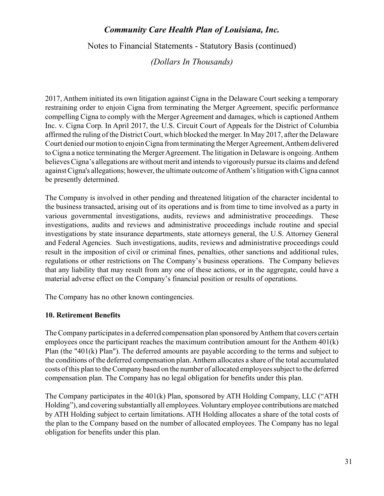Notes to Financial Statements - Statutory Basis (continued)

### *(Dollars In Thousands)*

2017, Anthem initiated its own litigation against Cigna in the Delaware Court seeking a temporary restraining order to enjoin Cigna from terminating the Merger Agreement, specific performance compelling Cigna to comply with the Merger Agreement and damages, which is captioned Anthem Inc. v. Cigna Corp. In April 2017, the U.S. Circuit Court of Appeals for the District of Columbia affirmed the ruling of the District Court, which blocked the merger. In May 2017, after the Delaware Court denied our motion to enjoin Cigna from terminating the Merger Agreement, Anthem delivered to Cigna a notice terminating the Merger Agreement. The litigation in Delaware is ongoing. Anthem believes Cigna's allegations are without merit and intends to vigorously pursue its claims and defend against Cigna's allegations; however, the ultimate outcome of Anthem's litigation with Cigna cannot be presently determined.

The Company is involved in other pending and threatened litigation of the character incidental to the business transacted, arising out of its operations and is from time to time involved as a party in various governmental investigations, audits, reviews and administrative proceedings. These investigations, audits and reviews and administrative proceedings include routine and special investigations by state insurance departments, state attorneys general, the U.S. Attorney General and Federal Agencies. Such investigations, audits, reviews and administrative proceedings could result in the imposition of civil or criminal fines, penalties, other sanctions and additional rules, regulations or other restrictions on The Company's business operations. The Company believes that any liability that may result from any one of these actions, or in the aggregate, could have a material adverse effect on the Company's financial position or results of operations.

The Company has no other known contingencies.

#### **10. Retirement Benefits**

The Company participates in a deferred compensation plan sponsored by Anthem that covers certain employees once the participant reaches the maximum contribution amount for the Anthem 401(k) Plan (the "401(k) Plan"). The deferred amounts are payable according to the terms and subject to the conditions of the deferred compensation plan. Anthem allocates a share of the total accumulated costs of this plan to the Company based on the number of allocated employees subject to the deferred compensation plan. The Company has no legal obligation for benefits under this plan.

The Company participates in the 401(k) Plan, sponsored by ATH Holding Company, LLC ("ATH Holding"), and covering substantially all employees. Voluntary employee contributions are matched by ATH Holding subject to certain limitations. ATH Holding allocates a share of the total costs of the plan to the Company based on the number of allocated employees. The Company has no legal obligation for benefits under this plan.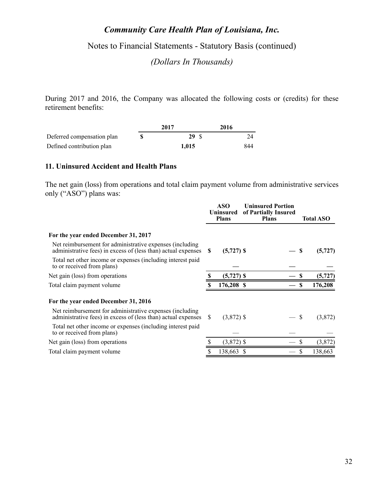Notes to Financial Statements - Statutory Basis (continued)

*(Dollars In Thousands)*

During 2017 and 2016, the Company was allocated the following costs or (credits) for these retirement benefits:

|                            | 2017  | 2016 |     |
|----------------------------|-------|------|-----|
| Deferred compensation plan | 29 S  |      |     |
| Defined contribution plan  | 1.015 |      | 844 |

#### **11. Uninsured Accident and Health Plans**

The net gain (loss) from operations and total claim payment volume from administrative services only ("ASO") plans was:

|                                                                                                                           |    | <b>ASO</b><br>Uninsured<br><b>Plans</b> | <b>Uninsured Portion</b><br>of Partially Insured<br><b>Plans</b> |                           | <b>Total ASO</b> |
|---------------------------------------------------------------------------------------------------------------------------|----|-----------------------------------------|------------------------------------------------------------------|---------------------------|------------------|
| For the year ended December 31, 2017                                                                                      |    |                                         |                                                                  |                           |                  |
| Net reimbursement for administrative expenses (including<br>administrative fees) in excess of (less than) actual expenses | S  | $(5, 727)$ \$                           |                                                                  | $\boldsymbol{\mathsf{s}}$ | (5, 727)         |
| Total net other income or expenses (including interest paid<br>to or received from plans)                                 |    |                                         |                                                                  |                           |                  |
| Net gain (loss) from operations                                                                                           |    | $(5,727)$ \$                            |                                                                  | S                         | (5, 727)         |
| Total claim payment volume                                                                                                |    | 176,208 \$                              |                                                                  | \$                        | 176,208          |
| For the year ended December 31, 2016                                                                                      |    |                                         |                                                                  |                           |                  |
| Net reimbursement for administrative expenses (including<br>administrative fees) in excess of (less than) actual expenses | \$ | $(3,872)$ \$                            |                                                                  | \$                        | (3,872)          |
| Total net other income or expenses (including interest paid<br>to or received from plans)                                 |    |                                         |                                                                  |                           |                  |
| Net gain (loss) from operations                                                                                           |    | $(3,872)$ \$                            |                                                                  |                           | (3, 872)         |
| Total claim payment volume                                                                                                |    | 138,663 \$                              |                                                                  | \$                        | 138,663          |
|                                                                                                                           |    |                                         |                                                                  |                           |                  |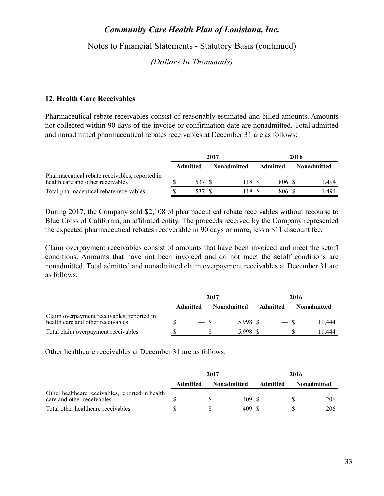Notes to Financial Statements - Statutory Basis (continued)

*(Dollars In Thousands)*

#### **12. Health Care Receivables**

Pharmaceutical rebate receivables consist of reasonably estimated and billed amounts. Amounts not collected within 90 days of the invoice or confirmation date are nonadmitted. Total admitted and nonadmitted pharmaceutical rebates receivables at December 31 are as follows:

|                                                                                     | 2017     |  |                    |  | 2016            |  |                    |
|-------------------------------------------------------------------------------------|----------|--|--------------------|--|-----------------|--|--------------------|
|                                                                                     | Admitted |  | <b>Nonadmitted</b> |  | <b>Admitted</b> |  | <b>Nonadmitted</b> |
| Pharmaceutical rebate receivables, reported in<br>health care and other receivables | 537 S    |  | 118 S              |  | 806 S           |  | 1.494              |
| Total pharmaceutical rebate receivables                                             | 537 S    |  | 118 S              |  | 806 \$          |  | 494                |

During 2017, the Company sold \$2,108 of pharmaceutical rebate receivables without recourse to Blue Cross of California, an affiliated entity. The proceeds received by the Company represented the expected pharmaceutical rebates recoverable in 90 days or more, less a \$11 discount fee.

Claim overpayment receivables consist of amounts that have been invoiced and meet the setoff conditions. Amounts that have not been invoiced and do not meet the setoff conditions are nonadmitted. Total admitted and nonadmitted claim overpayment receivables at December 31 are as follows:

|                                                                                 | 2017     |        |                    |          | 2016               |
|---------------------------------------------------------------------------------|----------|--------|--------------------|----------|--------------------|
|                                                                                 | Admitted |        | <b>Nonadmitted</b> | Admitted | <b>Nonadmitted</b> |
| Claim overpayment receivables, reported in<br>health care and other receivables |          | $-$ \$ | 5.998 \$           | $-$ \$   | 11.444             |
| Total claim overpayment receivables                                             |          | $-$ S  | 5,998 \$           | $-$ S    | 1.444              |

Other healthcare receivables at December 31 are as follows:

|                                                                                |          |  |                    | 2016            |        |                    |
|--------------------------------------------------------------------------------|----------|--|--------------------|-----------------|--------|--------------------|
|                                                                                | Admitted |  | <b>Nonadmitted</b> | <b>Admitted</b> |        | <b>Nonadmitted</b> |
| Other healthcare receivables, reported in health<br>care and other receivables |          |  | 409 S              |                 | $-$ \$ | 206                |
| Total other healthcare receivables                                             |          |  | 409 S              |                 |        | 206                |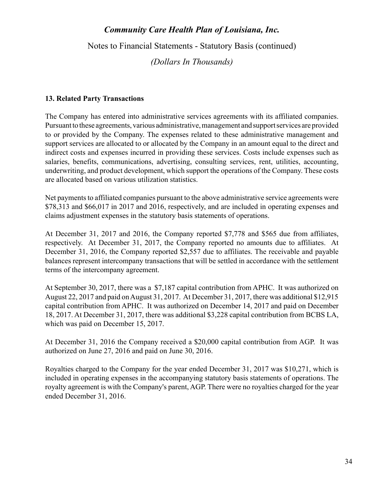Notes to Financial Statements - Statutory Basis (continued)

*(Dollars In Thousands)*

#### **13. Related Party Transactions**

The Company has entered into administrative services agreements with its affiliated companies. Pursuant to these agreements, various administrative, management and support services are provided to or provided by the Company. The expenses related to these administrative management and support services are allocated to or allocated by the Company in an amount equal to the direct and indirect costs and expenses incurred in providing these services. Costs include expenses such as salaries, benefits, communications, advertising, consulting services, rent, utilities, accounting, underwriting, and product development, which support the operations of the Company. These costs are allocated based on various utilization statistics.

Net payments to affiliated companies pursuant to the above administrative service agreements were \$78,313 and \$66,017 in 2017 and 2016, respectively, and are included in operating expenses and claims adjustment expenses in the statutory basis statements of operations.

At December 31, 2017 and 2016, the Company reported \$7,778 and \$565 due from affiliates, respectively. At December 31, 2017, the Company reported no amounts due to affiliates. At December 31, 2016, the Company reported \$2,557 due to affiliates. The receivable and payable balances represent intercompany transactions that will be settled in accordance with the settlement terms of the intercompany agreement.

At September 30, 2017, there was a \$7,187 capital contribution from APHC. It was authorized on August 22, 2017 and paid on August 31, 2017. At December 31, 2017, there was additional \$12,915 capital contribution from APHC. It was authorized on December 14, 2017 and paid on December 18, 2017. At December 31, 2017, there was additional \$3,228 capital contribution from BCBS LA, which was paid on December 15, 2017.

At December 31, 2016 the Company received a \$20,000 capital contribution from AGP. It was authorized on June 27, 2016 and paid on June 30, 2016.

Royalties charged to the Company for the year ended December 31, 2017 was \$10,271, which is included in operating expenses in the accompanying statutory basis statements of operations. The royalty agreement is with the Company's parent, AGP. There were no royalties charged for the year ended December 31, 2016.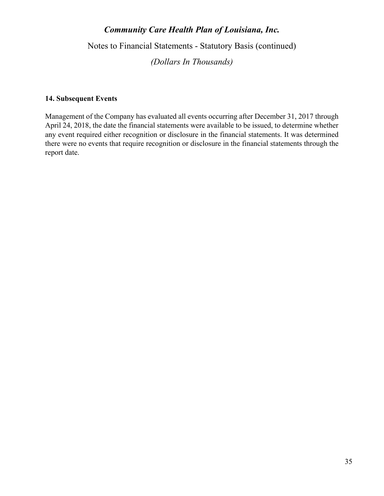Notes to Financial Statements - Statutory Basis (continued)

*(Dollars In Thousands)*

### **14. Subsequent Events**

Management of the Company has evaluated all events occurring after December 31, 2017 through April 24, 2018, the date the financial statements were available to be issued, to determine whether any event required either recognition or disclosure in the financial statements. It was determined there were no events that require recognition or disclosure in the financial statements through the report date.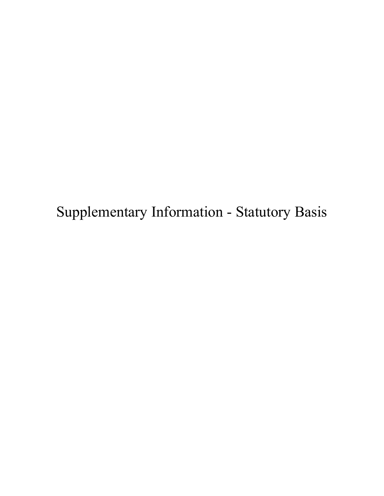Supplementary Information - Statutory Basis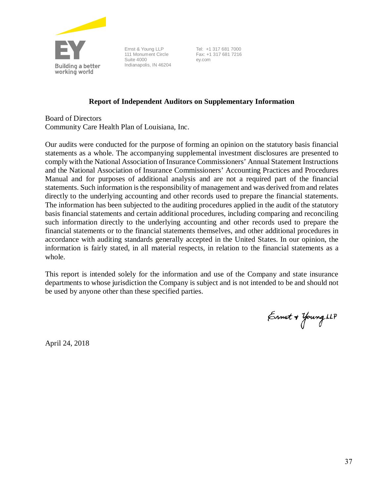<span id="page-38-0"></span>

Ernst & Young LLP 111 Monument Circle Suite 4000 Indianapolis, IN 46204 Tel: +1 317 681 7000 Fax: +1 317 681 7216 ey.com

#### **Report of Independent Auditors on Supplementary Information**

Board of Directors Community Care Health Plan of Louisiana, Inc.

Our audits were conducted for the purpose of forming an opinion on the statutory basis financial statements as a whole. The accompanying supplemental investment disclosures are presented to comply with the National Association of Insurance Commissioners' Annual Statement Instructions and the National Association of Insurance Commissioners' Accounting Practices and Procedures Manual and for purposes of additional analysis and are not a required part of the financial statements. Such information is the responsibility of management and was derived from and relates directly to the underlying accounting and other records used to prepare the financial statements. The information has been subjected to the auditing procedures applied in the audit of the statutory basis financial statements and certain additional procedures, including comparing and reconciling such information directly to the underlying accounting and other records used to prepare the financial statements or to the financial statements themselves, and other additional procedures in accordance with auditing standards generally accepted in the United States. In our opinion, the information is fairly stated, in all material respects, in relation to the financial statements as a whole.

This report is intended solely for the information and use of the Company and state insurance departments to whose jurisdiction the Company is subject and is not intended to be and should not be used by anyone other than these specified parties.

Ernst + Young LLP

April 24, 2018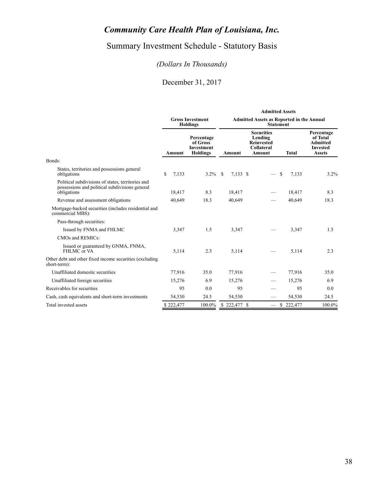# <span id="page-39-0"></span>Summary Investment Schedule - Statutory Basis

## *(Dollars In Thousands)*

### December 31, 2017

|                                                                                                                    |             |                                                                | <b>Admitted Assets</b>                                               |                                                                           |                |                                                                        |  |  |  |  |
|--------------------------------------------------------------------------------------------------------------------|-------------|----------------------------------------------------------------|----------------------------------------------------------------------|---------------------------------------------------------------------------|----------------|------------------------------------------------------------------------|--|--|--|--|
|                                                                                                                    |             | <b>Gross Investment</b><br><b>Holdings</b>                     | <b>Admitted Assets as Reported in the Annual</b><br><b>Statement</b> |                                                                           |                |                                                                        |  |  |  |  |
|                                                                                                                    | Amount      | Percentage<br>of Gross<br><b>Investment</b><br><b>Holdings</b> | Amount                                                               | <b>Securities</b><br>Lending<br><b>Reinvested</b><br>Collateral<br>Amount | <b>Total</b>   | Percentage<br>of Total<br>Admitted<br><b>Invested</b><br><b>Assets</b> |  |  |  |  |
| Bonds:                                                                                                             |             |                                                                |                                                                      |                                                                           |                |                                                                        |  |  |  |  |
| States, territories and possessions general<br>obligations                                                         | 7,133<br>\$ | $3.2\%$                                                        | -S<br>7,133 \$                                                       | <sup>\$</sup><br>$\overline{\phantom{0}}$                                 | 7,133          | 3.2%                                                                   |  |  |  |  |
| Political subdivisions of states, territories and<br>possessions and political subdivisions general<br>obligations | 18,417      | 8.3                                                            | 18,417                                                               |                                                                           | 18,417         | 8.3                                                                    |  |  |  |  |
| Revenue and assessment obligations                                                                                 | 40,649      | 18.3                                                           | 40,649                                                               |                                                                           | 40,649         | 18.3                                                                   |  |  |  |  |
| Mortgage-backed securities (includes residential and<br>commercial MBS):                                           |             |                                                                |                                                                      |                                                                           |                |                                                                        |  |  |  |  |
| Pass-through securities:                                                                                           |             |                                                                |                                                                      |                                                                           |                |                                                                        |  |  |  |  |
| Issued by FNMA and FHLMC                                                                                           | 3,347       | 1.5                                                            | 3,347                                                                |                                                                           | 3,347          | 1.5                                                                    |  |  |  |  |
| CMOs and REMICs:                                                                                                   |             |                                                                |                                                                      |                                                                           |                |                                                                        |  |  |  |  |
| Issued or guaranteed by GNMA, FNMA,<br>FHLMC or VA                                                                 | 5,114       | 2.3                                                            | 5,114                                                                |                                                                           | 5,114          | 2.3                                                                    |  |  |  |  |
| Other debt and other fixed income securities (excluding<br>short-term):                                            |             |                                                                |                                                                      |                                                                           |                |                                                                        |  |  |  |  |
| Unaffiliated domestic securities                                                                                   | 77,916      | 35.0                                                           | 77,916                                                               |                                                                           | 77,916         | 35.0                                                                   |  |  |  |  |
| Unaffiliated foreign securities                                                                                    | 15,276      | 6.9                                                            | 15,276                                                               |                                                                           | 15,276         | 6.9                                                                    |  |  |  |  |
| Receivables for securities                                                                                         | 95          | 0.0                                                            | 95                                                                   |                                                                           | 95             | 0.0                                                                    |  |  |  |  |
| Cash, cash equivalents and short-term investments                                                                  | 54,530      | 24.5                                                           | 54,530                                                               |                                                                           | 54,530         | 24.5                                                                   |  |  |  |  |
| Total invested assets                                                                                              | \$222,477   | 100.0%                                                         | $$222,477$ \;                                                        |                                                                           | $-$ \$ 222,477 | 100.0%                                                                 |  |  |  |  |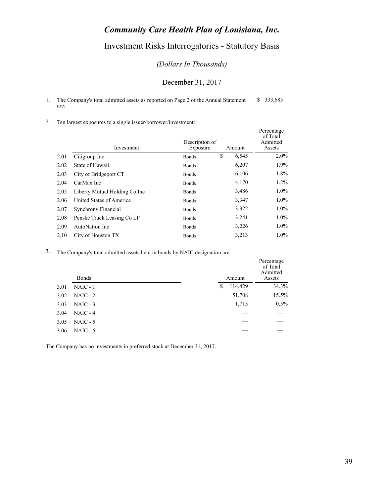Investment Risks Interrogatories - Statutory Basis

*(Dollars In Thousands)*

#### December 31, 2017

<span id="page-40-0"></span>1. The Company's total admitted assets as reported on Page 2 of the Annual Statement are: \$ 333,685

2. Ten largest exposures to a single issuer/borrower/investment:

|      | Investment                    | Description of<br>Exposure | Amount      | Percentage<br>of Total<br>Admitted<br>Assets |
|------|-------------------------------|----------------------------|-------------|----------------------------------------------|
| 2.01 | Citigroup Inc                 | <b>Bonds</b>               | \$<br>6,545 | $2.0\%$                                      |
| 2.02 | State of Hawaii               | <b>Bonds</b>               | 6,207       | $1.9\%$                                      |
| 2.03 | City of Bridgeport CT         | <b>Bonds</b>               | 6,106       | $1.8\%$                                      |
| 2.04 | CarMax Inc                    | <b>Bonds</b>               | 4,170       | $1.2\%$                                      |
| 2.05 | Liberty Mutual Holding Co Inc | <b>Bonds</b>               | 3,486       | $1.0\%$                                      |
| 2.06 | United States of America      | <b>Bonds</b>               | 3,347       | $1.0\%$                                      |
| 2.07 | Synchrony Financial           | <b>Bonds</b>               | 3,322       | $1.0\%$                                      |
| 2.08 | Penske Truck Leasing Co LP    | <b>Bonds</b>               | 3,241       | $1.0\%$                                      |
| 2.09 | AutoNation Inc.               | <b>Bonds</b>               | 3,226       | $1.0\%$                                      |
| 2.10 | City of Houston TX            | <b>Bonds</b>               | 3,213       | $1.0\%$                                      |

3. The Company's total admitted assets held in bonds by NAIC designation are:

|      | <b>Bonds</b> |   | Amount  | Percentage<br>of Total<br>Admitted<br>Assets |
|------|--------------|---|---------|----------------------------------------------|
| 3.01 | $NAIC - 1$   | S | 114,429 | 34.3%                                        |
| 3.02 | $NAIC - 2$   |   | 51,708  | 15.5%                                        |
| 3.03 | $NAIC - 3$   |   | 1,715   | 0.5%                                         |
| 3.04 | $NAIC - 4$   |   |         |                                              |
| 3.05 | $NAIC - 5$   |   |         |                                              |
| 3.06 | $NAIC - 6$   |   |         |                                              |
|      |              |   |         |                                              |

The Company has no investments in preferred stock at December 31, 2017.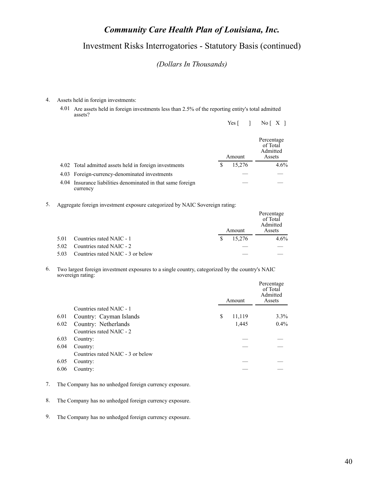Investment Risks Interrogatories - Statutory Basis (continued)

*(Dollars In Thousands)*

- 4. Assets held in foreign investments:
	- 4.01 Are assets held in foreign investments less than 2.5% of the reporting entity's total admitted assets?

|      |                                                                    |   | Yes [  | $Nof X$ ]                                    |
|------|--------------------------------------------------------------------|---|--------|----------------------------------------------|
|      |                                                                    |   | Amount | Percentage<br>of Total<br>Admitted<br>Assets |
|      | 4.02 Total admitted assets held in foreign investments             | S | 15,276 | $4.6\%$                                      |
|      | 4.03 Foreign-currency-denominated investments                      |   |        |                                              |
| 4.04 | Insurance liabilities denominated in that same foreign<br>currency |   |        |                                              |

5. Aggregate foreign investment exposure categorized by NAIC Sovereign rating:

|      |                                   | Amount | r creentage<br>of Total<br>Admitted<br>Assets |
|------|-----------------------------------|--------|-----------------------------------------------|
| 5.01 | Countries rated NAIC - 1          | 15.276 | 4.6%                                          |
| 5.02 | Countries rated NAIC - 2          |        |                                               |
| 5.03 | Countries rated NAIC - 3 or below |        |                                               |

Percentage

6. Two largest foreign investment exposures to a single country, categorized by the country's NAIC sovereign rating:

|      |                                   | Amount       | Percentage<br>of Total<br>Admitted<br>Assets |
|------|-----------------------------------|--------------|----------------------------------------------|
|      | Countries rated NAIC - 1          |              |                                              |
| 6.01 | Country: Cayman Islands           | \$<br>11,119 | 3.3%                                         |
| 6.02 | Country: Netherlands              | 1,445        | 0.4%                                         |
|      | Countries rated NAIC - 2          |              |                                              |
| 6.03 | Country:                          |              |                                              |
| 6.04 | Country:                          |              |                                              |
|      | Countries rated NAIC - 3 or below |              |                                              |
| 6.05 | Country:                          |              |                                              |
| 6.06 | Country:                          |              |                                              |

7. The Company has no unhedged foreign currency exposure.

8. The Company has no unhedged foreign currency exposure.

9. The Company has no unhedged foreign currency exposure.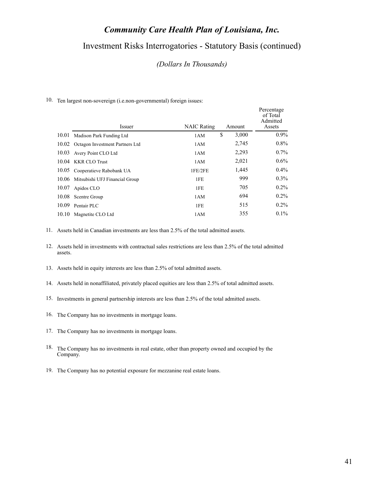### Investment Risks Interrogatories - Statutory Basis (continued)

#### *(Dollars In Thousands)*

#### 10. Ten largest non-sovereign (i.e.non-governmental) foreign issues:

|       | Issuer                                | <b>NAIC Rating</b> | Amount      | Percentage<br>of Total<br>Admitted<br>Assets |
|-------|---------------------------------------|--------------------|-------------|----------------------------------------------|
| 10.01 | Madison Park Funding Ltd              | 1AM                | \$<br>3,000 | $0.9\%$                                      |
|       | 10.02 Octagon Investment Partners Ltd | 1AM                | 2,745       | $0.8\%$                                      |
| 10.03 | Avery Point CLO Ltd                   | 1AM                | 2,293       | $0.7\%$                                      |
| 10.04 | <b>KKR CLO Trust</b>                  | 1AM                | 2,021       | $0.6\%$                                      |
| 10.05 | Cooperatieve Rabobank UA              | 1FE/2FE            | 1,445       | $0.4\%$                                      |
|       | 10.06 Mitsubishi UFJ Financial Group  | 1FE                | 999         | $0.3\%$                                      |
| 10.07 | Apidos CLO                            | 1FE                | 705         | $0.2\%$                                      |
| 10.08 | Scentre Group                         | 1AM                | 694         | $0.2\%$                                      |
| 10.09 | Pentair PLC                           | 1FE                | 515         | $0.2\%$                                      |
| 10.10 | Magnetite CLO Ltd                     | 1AM                | 355         | $0.1\%$                                      |

11. Assets held in Canadian investments are less than 2.5% of the total admitted assets.

- 12. Assets held in investments with contractual sales restrictions are less than 2.5% of the total admitted assets.
- 13. Assets held in equity interests are less than 2.5% of total admitted assets.
- 14. Assets held in nonaffiliated, privately placed equities are less than 2.5% of total admitted assets.
- 15. Investments in general partnership interests are less than 2.5% of the total admitted assets.
- 16. The Company has no investments in mortgage loans.
- 17. The Company has no investments in mortgage loans.
- 18. The Company has no investments in real estate, other than property owned and occupied by the Company.
- 19. The Company has no potential exposure for mezzanine real estate loans.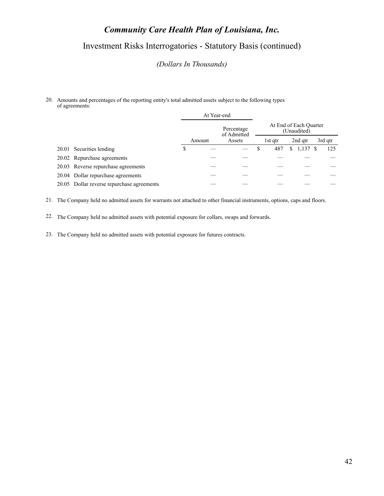Investment Risks Interrogatories - Statutory Basis (continued)

*(Dollars In Thousands)*

20. Amounts and percentages of the reporting entity's total admitted assets subject to the following types of agreements:

|       |                                            | At Year-end |        |                           |                                       |         |            |         |     |
|-------|--------------------------------------------|-------------|--------|---------------------------|---------------------------------------|---------|------------|---------|-----|
|       |                                            |             |        | Percentage<br>of Admitted | At End of Each Quarter<br>(Unaudited) |         |            |         |     |
|       |                                            |             | Amount | Assets                    | 1st gtr                               | 2nd qtr |            | 3rd qtr |     |
| 20.01 | Securities lending                         | ה.          |        |                           | 487                                   | S       | $1,137$ \$ |         | 125 |
|       | 20.02 Repurchase agreements                |             |        |                           |                                       |         |            |         |     |
|       | 20.03 Reverse repurchase agreements        |             |        |                           |                                       |         |            |         |     |
|       | 20.04 Dollar repurchase agreements         |             |        |                           |                                       |         |            |         |     |
|       | 20.05 Dollar reverse repurchase agreements |             |        |                           |                                       |         |            |         |     |

21. The Company held no admitted assets for warrants not attached to other financial instruments, options, caps and floors.

22. The Company held no admitted assets with potential exposure for collars, swaps and forwards.

23. The Company held no admitted assets with potential exposure for futures contracts.